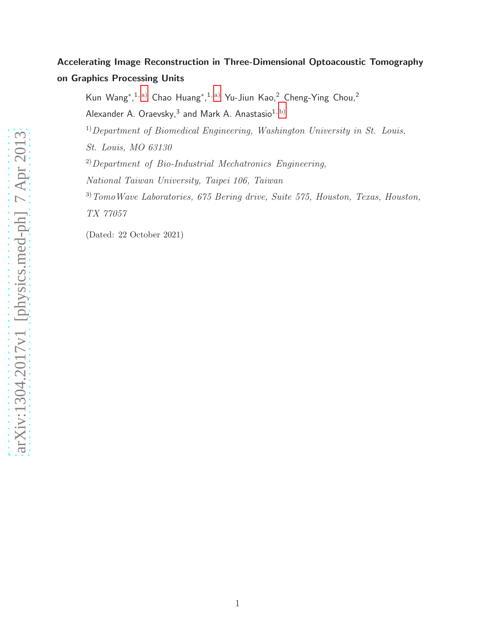# Accelerating Image Reconstruction in Three-Dimensional Optoacoustic Tomography on Graphics Processing Units

Kun Wang\*,<sup>1, [a\)](#page-1-0)</sup> Chao Huang\*,<sup>1, a)</sup> Yu-Jiun Kao,<sup>2</sup> Cheng-Ying Chou,<sup>2</sup>

Alexander A. Oraevsky, $^3$  and Mark A. Anastasio $^{\rm 1,\, b)}$  $^{\rm 1,\, b)}$  $^{\rm 1,\, b)}$ 

 $1)$  Department of Biomedical Engineering, Washington University in St. Louis,

St. Louis, MO 63130

 $^{2)}$ Department of Bio-Industrial Mechatronics Engineering,

National Taiwan University, Taipei 106, Taiwan

 $3)$  TomoWave Laboratories, 675 Bering drive, Suite 575, Houston, Texas, Houston, TX 77057

(Dated: 22 October 2021)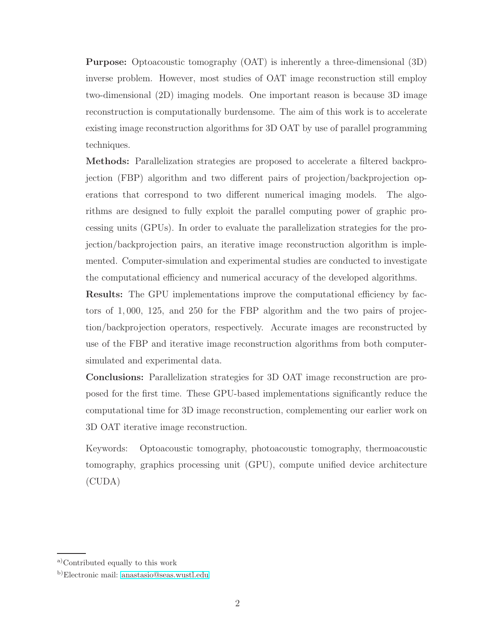Purpose: Optoacoustic tomography (OAT) is inherently a three-dimensional (3D) inverse problem. However, most studies of OAT image reconstruction still employ two-dimensional (2D) imaging models. One important reason is because 3D image reconstruction is computationally burdensome. The aim of this work is to accelerate existing image reconstruction algorithms for 3D OAT by use of parallel programming techniques.

Methods: Parallelization strategies are proposed to accelerate a filtered backprojection (FBP) algorithm and two different pairs of projection/backprojection operations that correspond to two different numerical imaging models. The algorithms are designed to fully exploit the parallel computing power of graphic processing units (GPUs). In order to evaluate the parallelization strategies for the projection/backprojection pairs, an iterative image reconstruction algorithm is implemented. Computer-simulation and experimental studies are conducted to investigate the computational efficiency and numerical accuracy of the developed algorithms.

**Results:** The GPU implementations improve the computational efficiency by factors of 1, 000, 125, and 250 for the FBP algorithm and the two pairs of projection/backprojection operators, respectively. Accurate images are reconstructed by use of the FBP and iterative image reconstruction algorithms from both computersimulated and experimental data.

Conclusions: Parallelization strategies for 3D OAT image reconstruction are proposed for the first time. These GPU-based implementations significantly reduce the computational time for 3D image reconstruction, complementing our earlier work on 3D OAT iterative image reconstruction.

Keywords: Optoacoustic tomography, photoacoustic tomography, thermoacoustic tomography, graphics processing unit (GPU), compute unified device architecture (CUDA)

<span id="page-1-1"></span><span id="page-1-0"></span>a)Contributed equally to this work

b)Electronic mail: [anastasio@seas.wustl.edu](mailto:anastasio@seas.wustl.edu)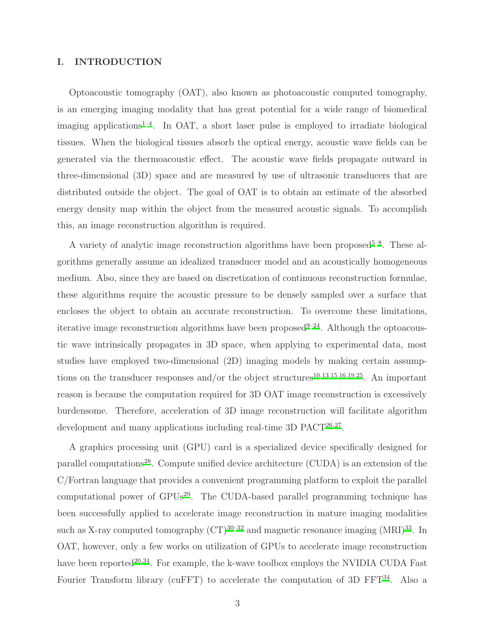### I. INTRODUCTION

Optoacoustic tomography (OAT), also known as photoacoustic computed tomography, is an emerging imaging modality that has great potential for a wide range of biomedical imaging applications<sup> $1-4$  $1-4$ </sup>. In OAT, a short laser pulse is employed to irradiate biological tissues. When the biological tissues absorb the optical energy, acoustic wave fields can be generated via the thermoacoustic effect. The acoustic wave fields propagate outward in three-dimensional (3D) space and are measured by use of ultrasonic transducers that are distributed outside the object. The goal of OAT is to obtain an estimate of the absorbed energy density map within the object from the measured acoustic signals. To accomplish this, an image reconstruction algorithm is required.

A variety of analytic image reconstruction algorithms have been proposed<sup> $5-8$  $5-8$ </sup>. These algorithms generally assume an idealized transducer model and an acoustically homogeneous medium. Also, since they are based on discretization of continuous reconstruction formulae, these algorithms require the acoustic pressure to be densely sampled over a surface that encloses the object to obtain an accurate reconstruction. To overcome these limitations, iterative image reconstruction algorithms have been proposed  $9-24$  $9-24$ . Although the optoacoustic wave intrinsically propagates in 3D space, when applying to experimental data, most studies have employed two-dimensional (2D) imaging models by making certain assump-tions on the transducer responses and/or the object structures<sup>[10](#page-22-5)[,13](#page-22-6)[,15](#page-23-1)[,16](#page-23-2)[,19](#page-23-3)[,25](#page-23-4)</sup>. An important reason is because the computation required for 3D OAT image reconstruction is excessively burdensome. Therefore, acceleration of 3D image reconstruction will facilitate algorithm development and many applications including real-time 3D PACT<sup>[26](#page-24-0)[,27](#page-24-1)</sup>.

A graphics processing unit (GPU) card is a specialized device specifically designed for parallel computations<sup>[28](#page-24-2)</sup>. Compute unified device architecture  $(CUDA)$  is an extension of the C/Fortran language that provides a convenient programming platform to exploit the parallel computational power of  $\text{GPUs}^{29}$  $\text{GPUs}^{29}$  $\text{GPUs}^{29}$ . The CUDA-based parallel programming technique has been successfully applied to accelerate image reconstruction in mature imaging modalities such as X-ray computed tomography  $(CT)^{30-32}$  $(CT)^{30-32}$  $(CT)^{30-32}$  and magnetic resonance imaging  $(MRI)^{33}$  $(MRI)^{33}$  $(MRI)^{33}$ . In OAT, however, only a few works on utilization of GPUs to accelerate image reconstruction have been reported<sup>[20](#page-23-5)[,34](#page-24-7)</sup>. For example, the k-wave toolbox employs the NVIDIA CUDA Fast Fourier Transform library (cuFFT) to accelerate the computation of 3D FFT $^{34}$  $^{34}$  $^{34}$ . Also a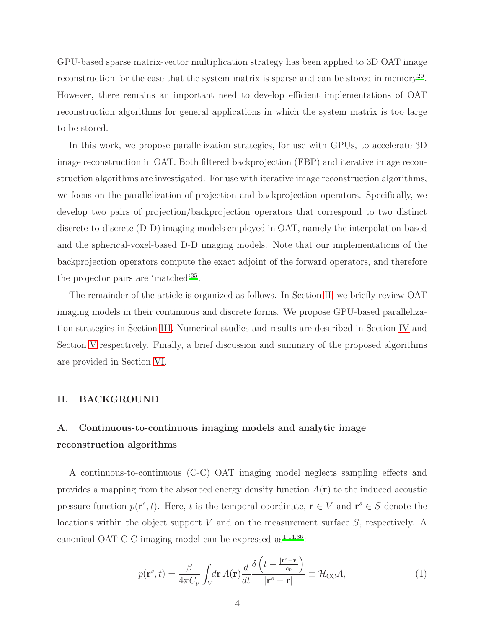GPU-based sparse matrix-vector multiplication strategy has been applied to 3D OAT image reconstruction for the case that the system matrix is sparse and can be stored in memory<sup>[20](#page-23-5)</sup>. However, there remains an important need to develop efficient implementations of OAT reconstruction algorithms for general applications in which the system matrix is too large to be stored.

In this work, we propose parallelization strategies, for use with GPUs, to accelerate 3D image reconstruction in OAT. Both filtered backprojection (FBP) and iterative image reconstruction algorithms are investigated. For use with iterative image reconstruction algorithms, we focus on the parallelization of projection and backprojection operators. Specifically, we develop two pairs of projection/backprojection operators that correspond to two distinct discrete-to-discrete (D-D) imaging models employed in OAT, namely the interpolation-based and the spherical-voxel-based D-D imaging models. Note that our implementations of the backprojection operators compute the exact adjoint of the forward operators, and therefore the projector pairs are 'matched'[35](#page-24-8) .

The remainder of the article is organized as follows. In Section [II,](#page-3-0) we briefly review OAT imaging models in their continuous and discrete forms. We propose GPU-based parallelization strategies in Section [III.](#page-9-0) Numerical studies and results are described in Section [IV](#page-14-0) and Section [V](#page-17-0) respectively. Finally, a brief discussion and summary of the proposed algorithms are provided in Section [VI.](#page-19-0)

#### <span id="page-3-0"></span>II. BACKGROUND

## A. Continuous-to-continuous imaging models and analytic image reconstruction algorithms

A continuous-to-continuous (C-C) OAT imaging model neglects sampling effects and provides a mapping from the absorbed energy density function  $A(\mathbf{r})$  to the induced acoustic pressure function  $p(\mathbf{r}^s, t)$ . Here, t is the temporal coordinate,  $\mathbf{r} \in V$  and  $\mathbf{r}^s \in S$  denote the locations within the object support  $V$  and on the measurement surface  $S$ , respectively. A canonical OAT C-C imaging model can be expressed as  $^{1,14,36}$  $^{1,14,36}$  $^{1,14,36}$  $^{1,14,36}$  $^{1,14,36}$ .

<span id="page-3-1"></span>
$$
p(\mathbf{r}^s, t) = \frac{\beta}{4\pi C_p} \int_V d\mathbf{r} \, A(\mathbf{r}) \frac{d}{dt} \frac{\delta \left( t - \frac{|\mathbf{r}^s - \mathbf{r}|}{c_0} \right)}{|\mathbf{r}^s - \mathbf{r}|} \equiv \mathcal{H}_{\rm CC} A,\tag{1}
$$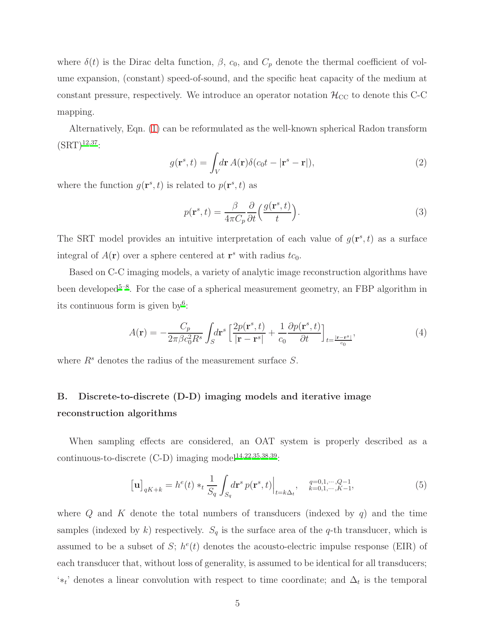where  $\delta(t)$  is the Dirac delta function,  $\beta$ ,  $c_0$ , and  $C_p$  denote the thermal coefficient of volume expansion, (constant) speed-of-sound, and the specific heat capacity of the medium at constant pressure, respectively. We introduce an operator notation  $\mathcal{H}_{CC}$  to denote this C-C mapping.

Alternatively, Eqn. [\(1\)](#page-3-1) can be reformulated as the well-known spherical Radon transform  $(SRT)^{12,37}$  $(SRT)^{12,37}$  $(SRT)^{12,37}$  $(SRT)^{12,37}$ :

<span id="page-4-1"></span>
$$
g(\mathbf{r}^s, t) = \int_V d\mathbf{r} \, A(\mathbf{r}) \delta(c_0 t - |\mathbf{r}^s - \mathbf{r}|), \tag{2}
$$

where the function  $g(\mathbf{r}^s, t)$  is related to  $p(\mathbf{r}^s, t)$  as

<span id="page-4-2"></span>
$$
p(\mathbf{r}^s, t) = \frac{\beta}{4\pi C_p} \frac{\partial}{\partial t} \left( \frac{g(\mathbf{r}^s, t)}{t} \right).
$$
 (3)

The SRT model provides an intuitive interpretation of each value of  $g(\mathbf{r}^s, t)$  as a surface integral of  $A(\mathbf{r})$  over a sphere centered at  $\mathbf{r}^s$  with radius  $tc_0$ .

Based on C-C imaging models, a variety of analytic image reconstruction algorithms have been developed<sup>[5](#page-22-2)-8</sup>. For the case of a spherical measurement geometry, an FBP algorithm in its continuous form is given by<sup>[6](#page-22-8)</sup>:

$$
A(\mathbf{r}) = -\frac{C_p}{2\pi\beta c_0^2 R^s} \int_S d\mathbf{r}^s \left[ \frac{2p(\mathbf{r}^s, t)}{|\mathbf{r} - \mathbf{r}^s|} + \frac{1}{c_0} \frac{\partial p(\mathbf{r}^s, t)}{\partial t} \right]_{t = \frac{|\mathbf{r} - \mathbf{r}^s|}{c_0}},\tag{4}
$$

where  $R^s$  denotes the radius of the measurement surface  $S$ .

# B. Discrete-to-discrete (D-D) imaging models and iterative image reconstruction algorithms

When sampling effects are considered, an OAT system is properly described as a continuous-to-discrete  $(C-D)$  imaging model<sup>[14](#page-23-6)[,22](#page-23-7)[,35](#page-24-8)[,38](#page-24-11)[,39](#page-24-12)</sup>:

<span id="page-4-0"></span>
$$
\left[\mathbf{u}\right]_{qK+k} = h^e(t) *_{t} \frac{1}{S_q} \int_{S_q} d\mathbf{r}^s \, p(\mathbf{r}^s, t)\Big|_{t=k\Delta_t}, \quad \substack{q=0,1,\cdots,Q-1,\\k=0,1,\cdots,K-1},
$$
 (5)

where  $Q$  and  $K$  denote the total numbers of transducers (indexed by  $q$ ) and the time samples (indexed by k) respectively.  $S_q$  is the surface area of the q-th transducer, which is assumed to be a subset of S;  $h^e(t)$  denotes the acousto-electric impulse response (EIR) of each transducer that, without loss of generality, is assumed to be identical for all transducers;  $'∗_t'$  denotes a linear convolution with respect to time coordinate; and  $\Delta_t$  is the temporal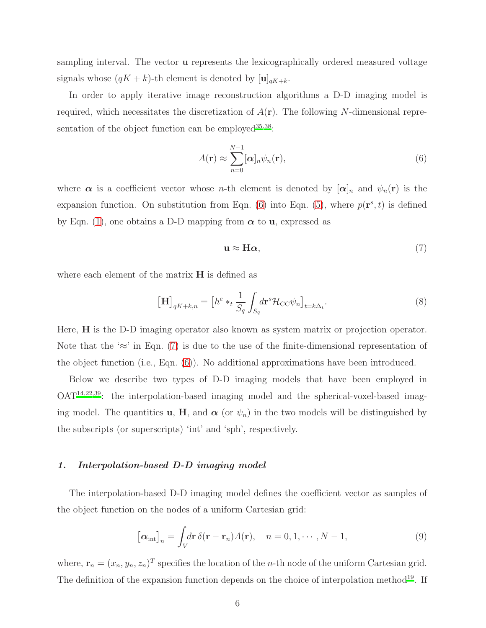sampling interval. The vector **u** represents the lexicographically ordered measured voltage signals whose  $(qK + k)$ -th element is denoted by  $[\mathbf{u}]_{qK+k}$ .

In order to apply iterative image reconstruction algorithms a D-D imaging model is required, which necessitates the discretization of  $A(\mathbf{r})$ . The following N-dimensional representation of the object function can be employed  $35,38$  $35,38$ :

<span id="page-5-0"></span>
$$
A(\mathbf{r}) \approx \sum_{n=0}^{N-1} [\boldsymbol{\alpha}]_n \psi_n(\mathbf{r}),
$$
\n(6)

where  $\alpha$  is a coefficient vector whose *n*-th element is denoted by  $[\alpha]_n$  and  $\psi_n(\mathbf{r})$  is the expansion function. On substitution from Eqn. [\(6\)](#page-5-0) into Eqn. [\(5\)](#page-4-0), where  $p(\mathbf{r}^s, t)$  is defined by Eqn. [\(1\)](#page-3-1), one obtains a D-D mapping from  $\alpha$  to **u**, expressed as

<span id="page-5-1"></span>
$$
\mathbf{u} \approx \mathbf{H}\boldsymbol{\alpha},\tag{7}
$$

where each element of the matrix  $H$  is defined as

<span id="page-5-3"></span>
$$
\left[\mathbf{H}\right]_{qK+k,n} = \left[h^e *_{t} \frac{1}{S_q} \int_{S_q} d\mathbf{r}^s \mathcal{H}_{\text{CC}} \psi_n\right]_{t=k\Delta_t}.\tag{8}
$$

Here, H is the D-D imaging operator also known as system matrix or projection operator. Note that the ' $\approx$ ' in Eqn. [\(7\)](#page-5-1) is due to the use of the finite-dimensional representation of the object function (i.e., Eqn. [\(6\)](#page-5-0)). No additional approximations have been introduced.

Below we describe two types of D-D imaging models that have been employed in OAT[14](#page-23-6)[,22](#page-23-7)[,39](#page-24-12): the interpolation-based imaging model and the spherical-voxel-based imaging model. The quantities **u**, **H**, and  $\alpha$  (or  $\psi_n$ ) in the two models will be distinguished by the subscripts (or superscripts) 'int' and 'sph', respectively.

#### 1. Interpolation-based D-D imaging model

The interpolation-based D-D imaging model defines the coefficient vector as samples of the object function on the nodes of a uniform Cartesian grid:

<span id="page-5-2"></span>
$$
\left[\alpha_{\text{int}}\right]_n = \int_V d\mathbf{r} \,\delta(\mathbf{r} - \mathbf{r}_n) A(\mathbf{r}), \quad n = 0, 1, \cdots, N - 1,\tag{9}
$$

where,  $\mathbf{r}_n = (x_n, y_n, z_n)^T$  specifies the location of the *n*-th node of the uniform Cartesian grid. The definition of the expansion function depends on the choice of interpolation method<sup>[19](#page-23-3)</sup>. If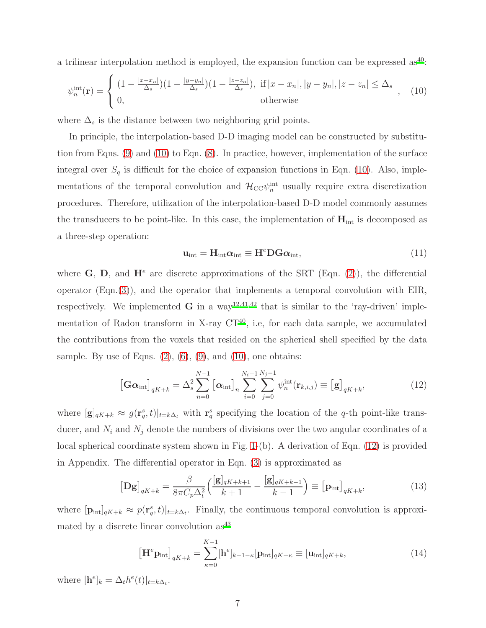a trilinear interpolation method is employed, the expansion function can be expressed as<sup>[40](#page-25-0)</sup>:

<span id="page-6-0"></span>
$$
\psi_n^{\text{int}}(\mathbf{r}) = \begin{cases} (1 - \frac{|x - x_n|}{\Delta_s})(1 - \frac{|y - y_n|}{\Delta_s})(1 - \frac{|z - z_n|}{\Delta_s}), & \text{if } |x - x_n|, |y - y_n|, |z - z_n| \le \Delta_s \\ 0, & \text{otherwise} \end{cases}
$$
 (10)

where  $\Delta_s$  is the distance between two neighboring grid points.

In principle, the interpolation-based D-D imaging model can be constructed by substitution from Eqns. [\(9\)](#page-5-2) and [\(10\)](#page-6-0) to Eqn. [\(8\)](#page-5-3). In practice, however, implementation of the surface integral over  $S_q$  is difficult for the choice of expansion functions in Eqn. [\(10\)](#page-6-0). Also, implementations of the temporal convolution and  $\mathcal{H}_{\text{CC}}\psi_n^{\text{int}}$  usually require extra discretization procedures. Therefore, utilization of the interpolation-based D-D model commonly assumes the transducers to be point-like. In this case, the implementation of  $H_{int}$  is decomposed as a three-step operation:

$$
\mathbf{u}_{\text{int}} = \mathbf{H}_{\text{int}} \alpha_{\text{int}} \equiv \mathbf{H}^e \mathbf{D} \mathbf{G} \alpha_{\text{int}},\tag{11}
$$

where G, D, and  $\mathbf{H}^e$  are discrete approximations of the SRT (Eqn. [\(2\)](#page-4-1)), the differential operator (Eqn.[\(3\)](#page-4-2)), and the operator that implements a temporal convolution with EIR, respectively. We implemented  $\bf{G}$  in a way<sup>[12](#page-22-7)[,41](#page-25-1)[,42](#page-25-2)</sup> that is similar to the 'ray-driven' implementation of Radon transform in X-ray  $CT^{40}$  $CT^{40}$  $CT^{40}$ , i.e, for each data sample, we accumulated the contributions from the voxels that resided on the spherical shell specified by the data sample. By use of Eqns.  $(2)$ ,  $(6)$ ,  $(9)$ , and  $(10)$ , one obtains:

<span id="page-6-1"></span>
$$
\left[\mathbf{G}\boldsymbol{\alpha}_{\text{int}}\right]_{qK+k} = \Delta_s^2 \sum_{n=0}^{N-1} \left[\boldsymbol{\alpha}_{\text{int}}\right]_n \sum_{i=0}^{N_i-1} \sum_{j=0}^{N_j-1} \psi_n^{\text{int}}(\mathbf{r}_{k,i,j}) \equiv \left[\mathbf{g}\right]_{qK+k},\tag{12}
$$

where  $[\mathbf{g}]_{qK+k} \approx g(\mathbf{r}_q^s, t)|_{t=k\Delta_t}$  with  $\mathbf{r}_q^s$  specifying the location of the q-th point-like transducer, and  $N_i$  and  $N_j$  denote the numbers of divisions over the two angular coordinates of a local spherical coordinate system shown in Fig. [1-](#page-29-0)(b). A derivation of Eqn. [\(12\)](#page-6-1) is provided in Appendix. The differential operator in Eqn. [\(3\)](#page-4-2) is approximated as

<span id="page-6-2"></span>
$$
\left[\mathbf{D}\mathbf{g}\right]_{qK+k} = \frac{\beta}{8\pi C_p \Delta_t^2} \left(\frac{[\mathbf{g}]_{qK+k+1}}{k+1} - \frac{[\mathbf{g}]_{qK+k-1}}{k-1}\right) \equiv \left[\mathbf{p}_{\text{int}}\right]_{qK+k},\tag{13}
$$

where  $[\mathbf{p}_{int}]_{qK+k} \approx p(\mathbf{r}_q^s, t)|_{t=k\Delta_t}$ . Finally, the continuous temporal convolution is approximated by a discrete linear convolution  $as^{43}$  $as^{43}$  $as^{43}$ 

<span id="page-6-3"></span>
$$
\left[\mathbf{H}^e \mathbf{p}_{\text{int}}\right]_{qK+k} = \sum_{\kappa=0}^{K-1} [\mathbf{h}^e]_{k-1-\kappa} [\mathbf{p}_{\text{int}}]_{qK+\kappa} \equiv [\mathbf{u}_{\text{int}}]_{qK+k},\tag{14}
$$

where  $[\mathbf{h}^e]_k = \Delta_t h^e(t)|_{t=k\Delta_t}$ .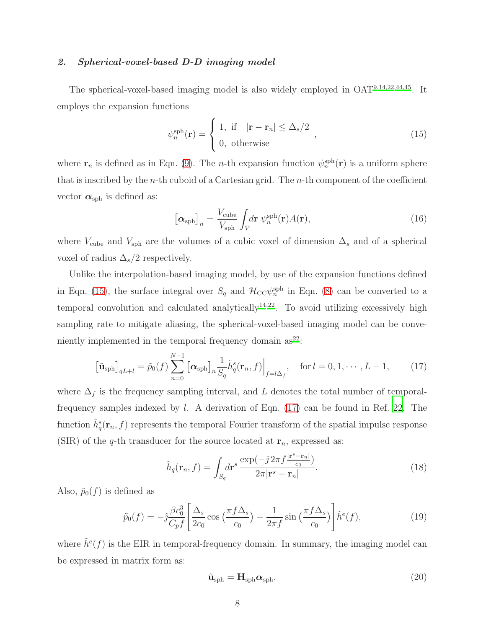### 2. Spherical-voxel-based D-D imaging model

The spherical-voxel-based imaging model is also widely employed in OAT[9](#page-22-4)[,14](#page-23-6)[,22](#page-23-7)[,44](#page-25-4)[,45](#page-25-5). It employs the expansion functions

<span id="page-7-0"></span>
$$
\psi_n^{\text{sph}}(\mathbf{r}) = \begin{cases} 1, & \text{if } |\mathbf{r} - \mathbf{r}_n| \le \Delta_s/2 \\ 0, & \text{otherwise} \end{cases},
$$
(15)

where  $\mathbf{r}_n$  is defined as in Eqn. [\(9\)](#page-5-2). The *n*-th expansion function  $\psi_n^{\text{sph}}(\mathbf{r})$  is a uniform sphere that is inscribed by the *n*-th cuboid of a Cartesian grid. The *n*-th component of the coefficient vector  $\alpha_{\rm sph}$  is defined as:

$$
\left[\alpha_{\rm sph}\right]_n = \frac{V_{\rm cube}}{V_{\rm sph}} \int_V d\mathbf{r} \; \psi_n^{\rm sph}(\mathbf{r}) A(\mathbf{r}),\tag{16}
$$

where  $V_{\text{cube}}$  and  $V_{\text{sph}}$  are the volumes of a cubic voxel of dimension  $\Delta_s$  and of a spherical voxel of radius  $\Delta_s/2$  respectively.

Unlike the interpolation-based imaging model, by use of the expansion functions defined in Eqn. [\(15\)](#page-7-0), the surface integral over  $S_q$  and  $\mathcal{H}_{CC}\psi_n^{\text{sph}}$  in Eqn. [\(8\)](#page-5-3) can be converted to a temporal convolution and calculated analytically<sup>[14](#page-23-6)[,22](#page-23-7)</sup>. To avoid utilizing excessively high sampling rate to mitigate aliasing, the spherical-voxel-based imaging model can be conveniently implemented in the temporal frequency domain  $as^{22}$  $as^{22}$  $as^{22}$ :

<span id="page-7-1"></span>
$$
\left[\tilde{\mathbf{u}}_{\text{sph}}\right]_{qL+l} = \tilde{p}_0(f) \sum_{n=0}^{N-1} \left[\alpha_{\text{sph}}\right]_n \frac{1}{S_q} \tilde{h}_q^s(\mathbf{r}_n, f)\Big|_{f=l\Delta_f}, \quad \text{for } l=0, 1, \cdots, L-1,
$$
 (17)

where  $\Delta_f$  is the frequency sampling interval, and L denotes the total number of temporalfrequency samples indexed by  $l$ . A derivation of Eqn. [\(17\)](#page-7-1) can be found in Ref. [22](#page-23-7). The function  $\tilde{h}^s_q(\mathbf{r}_n, f)$  represents the temporal Fourier transform of the spatial impulse response (SIR) of the q-th transducer for the source located at  $\mathbf{r}_n$ , expressed as:

$$
\tilde{h}_q(\mathbf{r}_n, f) = \int_{S_q} d\mathbf{r}^s \, \frac{\exp(-\hat{j} \, 2\pi f \frac{|\mathbf{r}^s - \mathbf{r}_n|}{c_0})}{2\pi |\mathbf{r}^s - \mathbf{r}_n|}.\tag{18}
$$

Also,  $\tilde{p}_0(f)$  is defined as

<span id="page-7-2"></span>
$$
\tilde{p}_0(f) = -\hat{j}\frac{\beta c_0^3}{C_p f} \left[ \frac{\Delta_s}{2c_0} \cos\left(\frac{\pi f \Delta_s}{c_0}\right) - \frac{1}{2\pi f} \sin\left(\frac{\pi f \Delta_s}{c_0}\right) \right] \tilde{h}^e(f),\tag{19}
$$

where  $\tilde{h}^e(f)$  is the EIR in temporal-frequency domain. In summary, the imaging model can be expressed in matrix form as:

$$
\tilde{\mathbf{u}}_{\text{sph}} = \mathbf{H}_{\text{sph}} \alpha_{\text{sph}}.\tag{20}
$$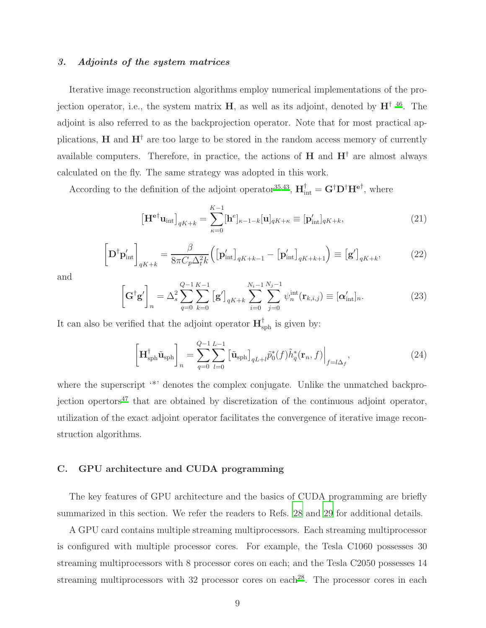### 3. Adjoints of the system matrices

Iterative image reconstruction algorithms employ numerical implementations of the projection operator, i.e., the system matrix  $H$ , as well as its adjoint, denoted by  $H^{\dagger}$  <sup>[46](#page-25-6)</sup>. The adjoint is also referred to as the backprojection operator. Note that for most practical applications, **H** and  $H^{\dagger}$  are too large to be stored in the random access memory of currently available computers. Therefore, in practice, the actions of  $H$  and  $H^{\dagger}$  are almost always calculated on the fly. The same strategy was adopted in this work.

According to the definition of the adjoint operator<sup>[35](#page-24-8)[,43](#page-25-3)</sup>,  $\mathbf{H}^{\dagger}_{int} = \mathbf{G}^{\dagger} \mathbf{D}^{\dagger} \mathbf{H}^{\mathbf{e} \dagger}$ , where

$$
\left[\mathbf{H}^{\mathbf{e}\dagger}\mathbf{u}_{\text{int}}\right]_{qK+k} = \sum_{\kappa=0}^{K-1} [\mathbf{h}^e]_{\kappa-1-k} [\mathbf{u}]_{qK+\kappa} \equiv [\mathbf{p}'_{\text{int}}]_{qK+k},\tag{21}
$$

$$
\left[\mathbf{D}^{\dagger}\mathbf{p}'_{\text{int}}\right]_{qK+k} = \frac{\beta}{8\pi C_p \Delta_t^2 k} \left(\left[\mathbf{p}'_{\text{int}}\right]_{qK+k-1} - \left[\mathbf{p}'_{\text{int}}\right]_{qK+k+1}\right) \equiv \left[\mathbf{g}'\right]_{qK+k},\tag{22}
$$

and

$$
\left[\mathbf{G}^{\dagger}\mathbf{g}'\right]_{n} = \Delta_{s}^{2} \sum_{q=0}^{Q-1} \sum_{k=0}^{K-1} \left[\mathbf{g}'\right]_{qK+k} \sum_{i=0}^{N_{i}-1} \sum_{j=0}^{N_{j}-1} \psi_{n}^{\text{int}}(\mathbf{r}_{k,i,j}) \equiv [\mathbf{\alpha}'_{\text{int}}]_{n}.
$$
 (23)

It can also be verified that the adjoint operator  $\mathbf{H}^{\dagger}_{\text{sph}}$  is given by:

$$
\left[\mathbf{H}_{\text{sph}}^{\dagger}\tilde{\mathbf{u}}_{\text{sph}}\right]_{n} = \sum_{q=0}^{Q-1} \sum_{l=0}^{L-1} \left[\tilde{\mathbf{u}}_{\text{sph}}\right]_{qL+l} \tilde{p}_0^*(f) \tilde{h}_q^*(\mathbf{r}_n, f)\Big|_{f=l\Delta_f},\tag{24}
$$

where the superscript '\*' denotes the complex conjugate. Unlike the unmatched backpro-jection opertors<sup>[47](#page-25-7)</sup> that are obtained by discretization of the continuous adjoint operator, utilization of the exact adjoint operator facilitates the convergence of iterative image reconstruction algorithms.

#### C. GPU architecture and CUDA programming

The key features of GPU architecture and the basics of CUDA programming are briefly summarized in this section. We refer the readers to Refs. [28](#page-24-2) and [29](#page-24-3) for additional details.

A GPU card contains multiple streaming multiprocessors. Each streaming multiprocessor is configured with multiple processor cores. For example, the Tesla C1060 possesses 30 streaming multiprocessors with 8 processor cores on each; and the Tesla C2050 possesses 14 streaming multiprocessors with 32 processor cores on each<sup>[28](#page-24-2)</sup>. The processor cores in each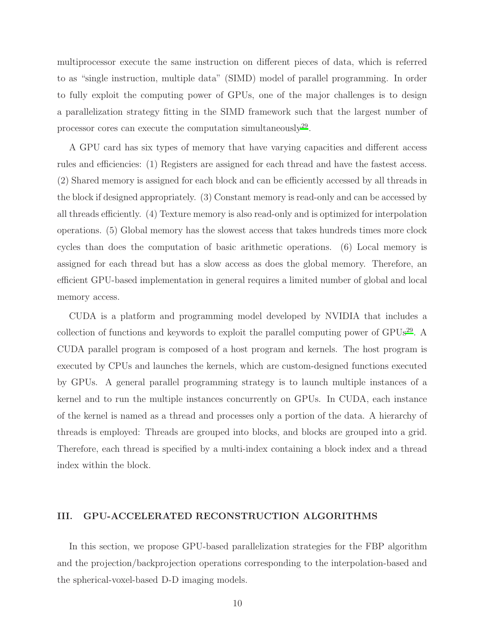multiprocessor execute the same instruction on different pieces of data, which is referred to as "single instruction, multiple data" (SIMD) model of parallel programming. In order to fully exploit the computing power of GPUs, one of the major challenges is to design a parallelization strategy fitting in the SIMD framework such that the largest number of processor cores can execute the computation simultaneously<sup>[29](#page-24-3)</sup>.

A GPU card has six types of memory that have varying capacities and different access rules and efficiencies: (1) Registers are assigned for each thread and have the fastest access. (2) Shared memory is assigned for each block and can be efficiently accessed by all threads in the block if designed appropriately. (3) Constant memory is read-only and can be accessed by all threads efficiently. (4) Texture memory is also read-only and is optimized for interpolation operations. (5) Global memory has the slowest access that takes hundreds times more clock cycles than does the computation of basic arithmetic operations. (6) Local memory is assigned for each thread but has a slow access as does the global memory. Therefore, an efficient GPU-based implementation in general requires a limited number of global and local memory access.

CUDA is a platform and programming model developed by NVIDIA that includes a collection of functions and keywords to exploit the parallel computing power of  $GPUs^{29}$  $GPUs^{29}$  $GPUs^{29}$ . CUDA parallel program is composed of a host program and kernels. The host program is executed by CPUs and launches the kernels, which are custom-designed functions executed by GPUs. A general parallel programming strategy is to launch multiple instances of a kernel and to run the multiple instances concurrently on GPUs. In CUDA, each instance of the kernel is named as a thread and processes only a portion of the data. A hierarchy of threads is employed: Threads are grouped into blocks, and blocks are grouped into a grid. Therefore, each thread is specified by a multi-index containing a block index and a thread index within the block.

### <span id="page-9-0"></span>III. GPU-ACCELERATED RECONSTRUCTION ALGORITHMS

In this section, we propose GPU-based parallelization strategies for the FBP algorithm and the projection/backprojection operations corresponding to the interpolation-based and the spherical-voxel-based D-D imaging models.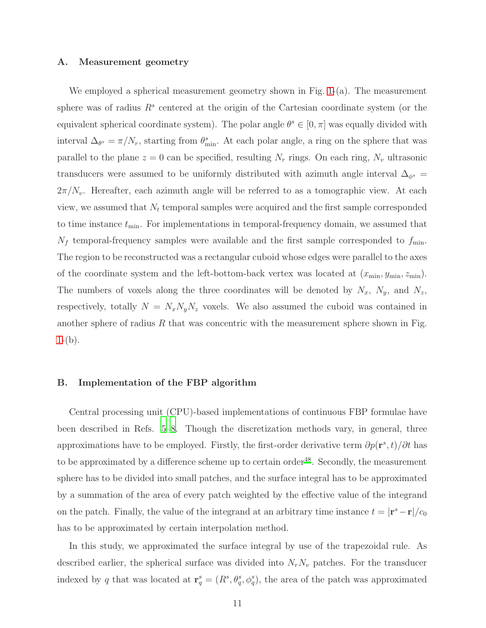#### A. Measurement geometry

We employed a spherical measurement geometry shown in Fig. [1-](#page-29-0)(a). The measurement sphere was of radius  $R<sup>s</sup>$  centered at the origin of the Cartesian coordinate system (or the equivalent spherical coordinate system). The polar angle  $\theta^s \in [0, \pi]$  was equally divided with interval  $\Delta_{\theta^s} = \pi/N_r$ , starting from  $\theta_{\min}^s$ . At each polar angle, a ring on the sphere that was parallel to the plane  $z = 0$  can be specified, resulting  $N_r$  rings. On each ring,  $N_v$  ultrasonic transducers were assumed to be uniformly distributed with azimuth angle interval  $\Delta_{\phi^s}$  =  $2\pi/N_v$ . Hereafter, each azimuth angle will be referred to as a tomographic view. At each view, we assumed that  $N_t$  temporal samples were acquired and the first sample corresponded to time instance  $t_{\min}$ . For implementations in temporal-frequency domain, we assumed that  $N_f$  temporal-frequency samples were available and the first sample corresponded to  $f_{\min}$ . The region to be reconstructed was a rectangular cuboid whose edges were parallel to the axes of the coordinate system and the left-bottom-back vertex was located at  $(x_{\min}, y_{\min}, z_{\min})$ . The numbers of voxels along the three coordinates will be denoted by  $N_x$ ,  $N_y$ , and  $N_z$ , respectively, totally  $N = N_x N_y N_z$  voxels. We also assumed the cuboid was contained in another sphere of radius  $R$  that was concentric with the measurement sphere shown in Fig.  $1-(b).$  $1-(b).$ 

#### B. Implementation of the FBP algorithm

Central processing unit (CPU)-based implementations of continuous FBP formulae have been described in Refs. [5](#page-22-2)[–8](#page-22-3). Though the discretization methods vary, in general, three approximations have to be employed. Firstly, the first-order derivative term  $\partial p(\mathbf{r}^s, t)/\partial t$  has to be approximated by a difference scheme up to certain order<sup>[48](#page-25-8)</sup>. Secondly, the measurement sphere has to be divided into small patches, and the surface integral has to be approximated by a summation of the area of every patch weighted by the effective value of the integrand on the patch. Finally, the value of the integrand at an arbitrary time instance  $t = |\mathbf{r}^s - \mathbf{r}|/c_0$ has to be approximated by certain interpolation method.

In this study, we approximated the surface integral by use of the trapezoidal rule. As described earlier, the spherical surface was divided into  $N_rN_v$  patches. For the transducer indexed by q that was located at  $\mathbf{r}_q^s = (R^s, \theta_q^s, \phi_q^s)$ , the area of the patch was approximated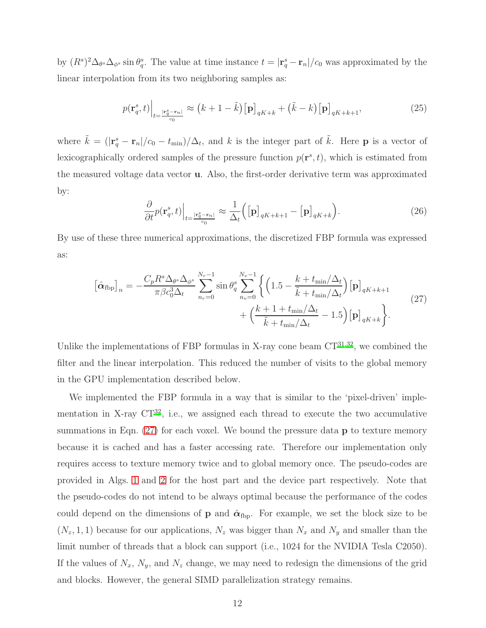by  $(R^{s})^2 \Delta_{\theta^{s}} \Delta_{\phi^{s}} \sin \theta_{q}^{s}$ . The value at time instance  $t = |\mathbf{r}_{q}^{s} - \mathbf{r}_{n}|/c_0$  was approximated by the linear interpolation from its two neighboring samples as:

$$
p(\mathbf{r}_q^s, t)\Big|_{t=\frac{|\mathbf{r}_q^s - \mathbf{r}_n|}{c_0}} \approx (k+1-\tilde{k})[\mathbf{p}]_{qK+k} + (\tilde{k}-k)[\mathbf{p}]_{qK+k+1},\tag{25}
$$

where  $\tilde{k} = (|\mathbf{r}_q^s - \mathbf{r}_n|/c_0 - t_{\text{min}})/\Delta_t$ , and k is the integer part of  $\tilde{k}$ . Here **p** is a vector of lexicographically ordered samples of the pressure function  $p(\mathbf{r}^s, t)$ , which is estimated from the measured voltage data vector u. Also, the first-order derivative term was approximated by:

$$
\frac{\partial}{\partial t}p(\mathbf{r}_q^s, t)\Big|_{t=\frac{|\mathbf{r}_q^s - \mathbf{r}_n|}{c_0}} \approx \frac{1}{\Delta_t} \Big( [\mathbf{p}]_{qK+k+1} - [\mathbf{p}]_{qK+k} \Big). \tag{26}
$$

By use of these three numerical approximations, the discretized FBP formula was expressed as:

<span id="page-11-0"></span>
$$
\left[\hat{\alpha}_{\text{fbp}}\right]_n = -\frac{C_p R^s \Delta_{\theta^s} \Delta_{\phi^s}}{\pi \beta c_0^3 \Delta_t} \sum_{n_r=0}^{N_r-1} \sin \theta_q^s \sum_{n_v=0}^{N_v-1} \left\{ \left(1.5 - \frac{k + t_{\min}/\Delta_t}{\tilde{k} + t_{\min}/\Delta_t} \right) \left[\mathbf{p}\right]_{qK+k+1} + \left(\frac{k + 1 + t_{\min}/\Delta_t}{\tilde{k} + t_{\min}/\Delta_t} - 1.5\right) \left[\mathbf{p}\right]_{qK+k} \right\}.
$$
\n(27)

Unlike the implementations of FBP formulas in X-ray cone beam  $CT^{31,32}$  $CT^{31,32}$  $CT^{31,32}$  $CT^{31,32}$ , we combined the filter and the linear interpolation. This reduced the number of visits to the global memory in the GPU implementation described below.

We implemented the FBP formula in a way that is similar to the 'pixel-driven' implementation in X-ray  $CT^{32}$  $CT^{32}$  $CT^{32}$ , i.e., we assigned each thread to execute the two accumulative summations in Eqn. [\(27\)](#page-11-0) for each voxel. We bound the pressure data **p** to texture memory because it is cached and has a faster accessing rate. Therefore our implementation only requires access to texture memory twice and to global memory once. The pseudo-codes are provided in Algs. [1](#page-30-0) and [2](#page-30-1) for the host part and the device part respectively. Note that the pseudo-codes do not intend to be always optimal because the performance of the codes could depend on the dimensions of **p** and  $\hat{\alpha}_{\text{fbp}}$ . For example, we set the block size to be  $(N_z, 1, 1)$  because for our applications,  $N_z$  was bigger than  $N_x$  and  $N_y$  and smaller than the limit number of threads that a block can support (i.e., 1024 for the NVIDIA Tesla C2050). If the values of  $N_x$ ,  $N_y$ , and  $N_z$  change, we may need to redesign the dimensions of the grid and blocks. However, the general SIMD parallelization strategy remains.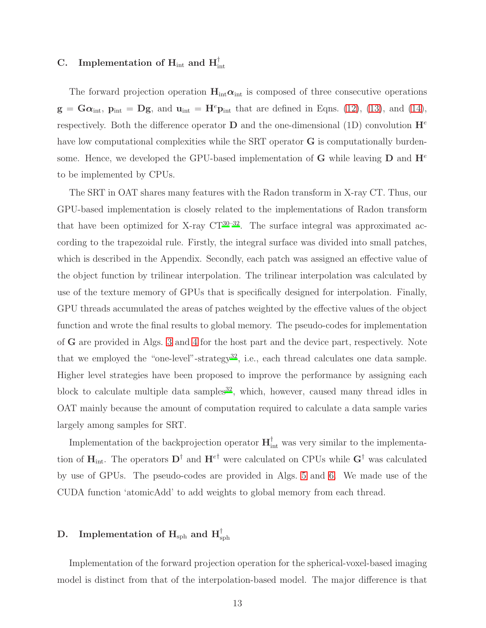# $\rm C. ~\quad In {\rm {\bf l}}$  implementation of  $\rm H_{int}$  and  $\rm H_{int}^{\dagger}$

The forward projection operation  $H_{int} \alpha_{int}$  is composed of three consecutive operations  $g = G\alpha_{\rm int}$ ,  $p_{\rm int} = Dg$ , and  $u_{\rm int} = H^e p_{\rm int}$  that are defined in Eqns. [\(12\)](#page-6-1), [\(13\)](#page-6-2), and [\(14\)](#page-6-3), respectively. Both the difference operator **D** and the one-dimensional (1D) convolution  $\mathbf{H}^e$ have low computational complexities while the SRT operator **G** is computationally burdensome. Hence, we developed the GPU-based implementation of **G** while leaving **D** and  $\mathbf{H}^e$ to be implemented by CPUs.

The SRT in OAT shares many features with the Radon transform in X-ray CT. Thus, our GPU-based implementation is closely related to the implementations of Radon transform that have been optimized for X-ray  $CT^{30-32}$  $CT^{30-32}$  $CT^{30-32}$ . The surface integral was approximated according to the trapezoidal rule. Firstly, the integral surface was divided into small patches, which is described in the Appendix. Secondly, each patch was assigned an effective value of the object function by trilinear interpolation. The trilinear interpolation was calculated by use of the texture memory of GPUs that is specifically designed for interpolation. Finally, GPU threads accumulated the areas of patches weighted by the effective values of the object function and wrote the final results to global memory. The pseudo-codes for implementation of G are provided in Algs. [3](#page-31-0) and [4](#page-31-1) for the host part and the device part, respectively. Note that we employed the "one-level"-strategy<sup>[32](#page-24-5)</sup>, i.e., each thread calculates one data sample. Higher level strategies have been proposed to improve the performance by assigning each block to calculate multiple data samples<sup>[32](#page-24-5)</sup>, which, however, caused many thread idles in OAT mainly because the amount of computation required to calculate a data sample varies largely among samples for SRT.

Implementation of the backprojection operator  $H_{int}^{{\dagger}}$  was very similar to the implementation of  $\mathbf{H}_{int}$ . The operators  $\mathbf{D}^{\dagger}$  and  $\mathbf{H}^{e\dagger}$  were calculated on CPUs while  $\mathbf{G}^{\dagger}$  was calculated by use of GPUs. The pseudo-codes are provided in Algs. [5](#page-32-0) and [6.](#page-32-1) We made use of the CUDA function 'atomicAdd' to add weights to global memory from each thread.

# $\rm D. \quad \rm Implement\rm ation\,\, of\,\, H_{\rm sph} \,\, and\,\, H^\dagger_{\rm sph}$

Implementation of the forward projection operation for the spherical-voxel-based imaging model is distinct from that of the interpolation-based model. The major difference is that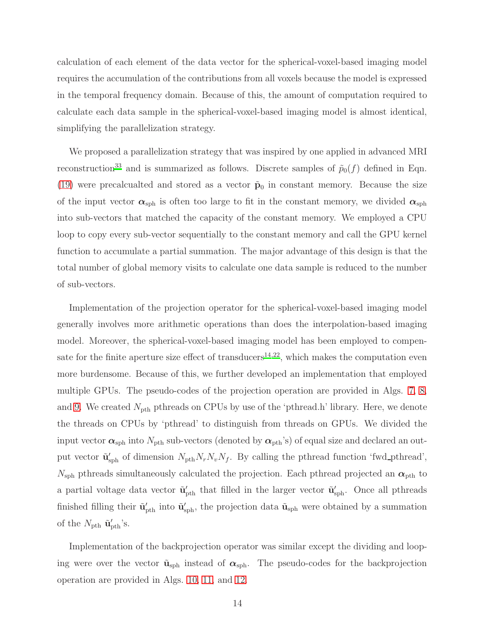calculation of each element of the data vector for the spherical-voxel-based imaging model requires the accumulation of the contributions from all voxels because the model is expressed in the temporal frequency domain. Because of this, the amount of computation required to calculate each data sample in the spherical-voxel-based imaging model is almost identical, simplifying the parallelization strategy.

We proposed a parallelization strategy that was inspired by one applied in advanced MRI reconstruction<sup>[33](#page-24-6)</sup> and is summarized as follows. Discrete samples of  $\tilde{p}_0(f)$  defined in Eqn. [\(19\)](#page-7-2) were precalcualted and stored as a vector  $\tilde{\mathbf{p}}_0$  in constant memory. Because the size of the input vector  $\alpha_{\rm sph}$  is often too large to fit in the constant memory, we divided  $\alpha_{\rm sph}$ into sub-vectors that matched the capacity of the constant memory. We employed a CPU loop to copy every sub-vector sequentially to the constant memory and call the GPU kernel function to accumulate a partial summation. The major advantage of this design is that the total number of global memory visits to calculate one data sample is reduced to the number of sub-vectors.

Implementation of the projection operator for the spherical-voxel-based imaging model generally involves more arithmetic operations than does the interpolation-based imaging model. Moreover, the spherical-voxel-based imaging model has been employed to compen-sate for the finite aperture size effect of transducers<sup>[14](#page-23-6)[,22](#page-23-7)</sup>, which makes the computation even more burdensome. Because of this, we further developed an implementation that employed multiple GPUs. The pseudo-codes of the projection operation are provided in Algs. [7,](#page-33-0) [8,](#page-34-0) and [9.](#page-35-0) We created  $N_{\text{pth}}$  pthreads on CPUs by use of the 'pthread.h' library. Here, we denote the threads on CPUs by 'pthread' to distinguish from threads on GPUs. We divided the input vector  $\alpha_{\rm sph}$  into  $N_{\rm pth}$  sub-vectors (denoted by  $\alpha_{\rm pth}$ 's) of equal size and declared an output vector  $\tilde{\mathbf{u}}'_{\text{sph}}$  of dimension  $N_{\text{pth}}N_rN_vN_f$ . By calling the pthread function 'fwd\_pthread',  $N_{\rm sph}$  pthreads simultaneously calculated the projection. Each pthread projected an  $\alpha_{\rm pth}$  to a partial voltage data vector  $\tilde{\mathbf{u}}'_{\text{pth}}$  that filled in the larger vector  $\tilde{\mathbf{u}}'_{\text{sph}}$ . Once all pthreads finished filling their  $\tilde{\mathbf{u}}'_{\text{pth}}$  into  $\tilde{\mathbf{u}}'_{\text{sph}}$ , the projection data  $\tilde{\mathbf{u}}_{\text{sph}}$  were obtained by a summation of the  $N_{\text{pth}}$   $\tilde{\mathbf{u}}'_{\text{pth}}$ 's.

Implementation of the backprojection operator was similar except the dividing and looping were over the vector  $\tilde{\mathbf{u}}_{\text{sph}}$  instead of  $\alpha_{\text{sph}}$ . The pseudo-codes for the backprojection operation are provided in Algs. [10,](#page-36-0) [11,](#page-37-0) and [12.](#page-38-0)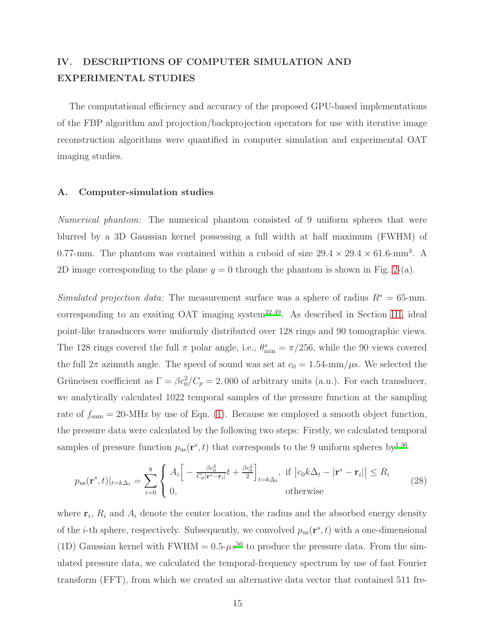# <span id="page-14-0"></span>IV. DESCRIPTIONS OF COMPUTER SIMULATION AND EXPERIMENTAL STUDIES

The computational efficiency and accuracy of the proposed GPU-based implementations of the FBP algorithm and projection/backprojection operators for use with iterative image reconstruction algorithms were quantified in computer simulation and experimental OAT imaging studies.

#### A. Computer-simulation studies

Numerical phantom: The numerical phantom consisted of 9 uniform spheres that were blurred by a 3D Gaussian kernel possessing a full width at half maximum (FWHM) of 0.77-mm. The phantom was contained within a cuboid of size  $29.4 \times 29.4 \times 61.6$ -mm<sup>3</sup>. A 2D image corresponding to the plane  $y = 0$  through the phantom is shown in Fig. [2-](#page-40-0)(a).

Simulated projection data: The measurement surface was a sphere of radius  $R^s = 65$ -mm. corresponding to an exsiting OAT imaging system<sup>[22](#page-23-7)[,49](#page-25-9)</sup>. As described in Section [III,](#page-9-0) ideal point-like transducers were uniformly distributed over 128 rings and 90 tomographic views. The 128 rings covered the full  $\pi$  polar angle, i.e.,  $\theta_{\min}^s = \pi/256$ , while the 90 views covered the full  $2\pi$  azimuth angle. The speed of sound was set at  $c_0 = 1.54$ -mm/ $\mu$ s. We selected the Grüneisen coefficient as  $\Gamma = \beta c_0^2 / C_p = 2{,}000$  of arbitrary units (a.u.). For each transducer, we analytically calculated 1022 temporal samples of the pressure function at the sampling rate of  $f_{\text{sam}} = 20$ -MHz by use of Eqn. [\(1\)](#page-3-1). Because we employed a smooth object function, the pressure data were calculated by the following two steps: Firstly, we calculated temporal samples of pressure function  $p_{us}(\mathbf{r}^s, t)$  that corresponds to the 9 uniform spheres by<sup>[1](#page-22-0)[,36](#page-24-9)</sup>

$$
p_{\rm us}(\mathbf{r}^s, t)|_{t=k\Delta_t} = \sum_{i=0}^8 \begin{cases} A_i \left[ -\frac{\beta c_0^3}{C_p |\mathbf{r}^s - \mathbf{r}_i|} t + \frac{\beta c_0^2}{2} \right]_{t=k\Delta_t}, & \text{if } |c_0 k \Delta_t - |\mathbf{r}^s - \mathbf{r}_i| \le R_i\\ 0, & \text{otherwise} \end{cases} \tag{28}
$$

where  $\mathbf{r}_i$ ,  $R_i$  and  $A_i$  denote the center location, the radius and the absorbed energy density of the *i*-th sphere, respectively. Subsequently, we convolved  $p_{us}(\mathbf{r}^s, t)$  with a one-dimensional (1D) Gaussian kernel with FWHM =  $0.5-\mu s^{50}$  $0.5-\mu s^{50}$  $0.5-\mu s^{50}$  to produce the pressure data. From the simulated pressure data, we calculated the temporal-frequency spectrum by use of fast Fourier transform (FFT), from which we created an alternative data vector that contained 511 fre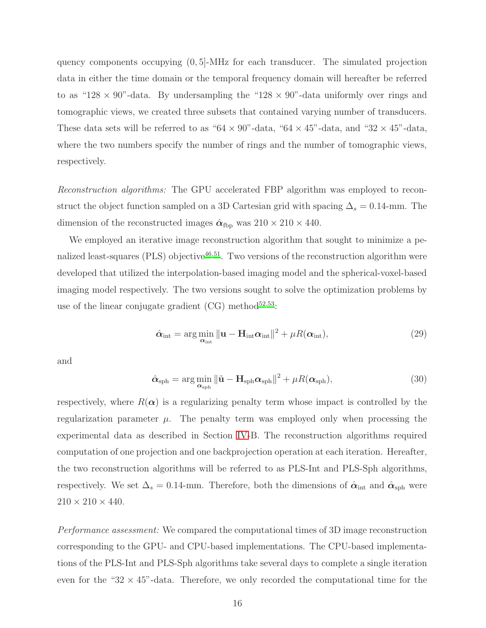quency components occupying (0, 5]-MHz for each transducer. The simulated projection data in either the time domain or the temporal frequency domain will hereafter be referred to as "128  $\times$  90"-data. By undersampling the "128  $\times$  90"-data uniformly over rings and tomographic views, we created three subsets that contained varying number of transducers. These data sets will be referred to as " $64 \times 90$ "-data, " $64 \times 45$ "-data, and " $32 \times 45$ "-data, where the two numbers specify the number of rings and the number of tomographic views, respectively.

Reconstruction algorithms: The GPU accelerated FBP algorithm was employed to reconstruct the object function sampled on a 3D Cartesian grid with spacing  $\Delta_s = 0.14$ -mm. The dimension of the reconstructed images  $\hat{\alpha}_{\text{fbp}}$  was  $210 \times 210 \times 440$ .

We employed an iterative image reconstruction algorithm that sought to minimize a pe-nalized least-squares (PLS) objective<sup>[46](#page-25-6)[,51](#page-25-11)</sup>. Two versions of the reconstruction algorithm were developed that utilized the interpolation-based imaging model and the spherical-voxel-based imaging model respectively. The two versions sought to solve the optimization problems by use of the linear conjugate gradient  $(CG)$  method<sup>[52](#page-26-0)[,53](#page-26-1)</sup>:

$$
\hat{\alpha}_{\text{int}} = \arg\min_{\alpha_{\text{int}}} \|\mathbf{u} - \mathbf{H}_{\text{int}}\alpha_{\text{int}}\|^2 + \mu R(\alpha_{\text{int}}), \tag{29}
$$

and

$$
\hat{\alpha}_{\text{sph}} = \arg\min_{\alpha_{\text{sph}}} \|\tilde{\mathbf{u}} - \mathbf{H}_{\text{sph}} \alpha_{\text{sph}}\|^2 + \mu R(\alpha_{\text{sph}}),
$$
\n(30)

respectively, where  $R(\alpha)$  is a regularizing penalty term whose impact is controlled by the regularization parameter  $\mu$ . The penalty term was employed only when processing the experimental data as described in Section [IV-](#page-14-0)B. The reconstruction algorithms required computation of one projection and one backprojection operation at each iteration. Hereafter, the two reconstruction algorithms will be referred to as PLS-Int and PLS-Sph algorithms, respectively. We set  $\Delta_s = 0.14$ -mm. Therefore, both the dimensions of  $\hat{\alpha}_{int}$  and  $\hat{\alpha}_{sph}$  were  $210 \times 210 \times 440$ .

Performance assessment: We compared the computational times of 3D image reconstruction corresponding to the GPU- and CPU-based implementations. The CPU-based implementations of the PLS-Int and PLS-Sph algorithms take several days to complete a single iteration even for the " $32 \times 45$ "-data. Therefore, we only recorded the computational time for the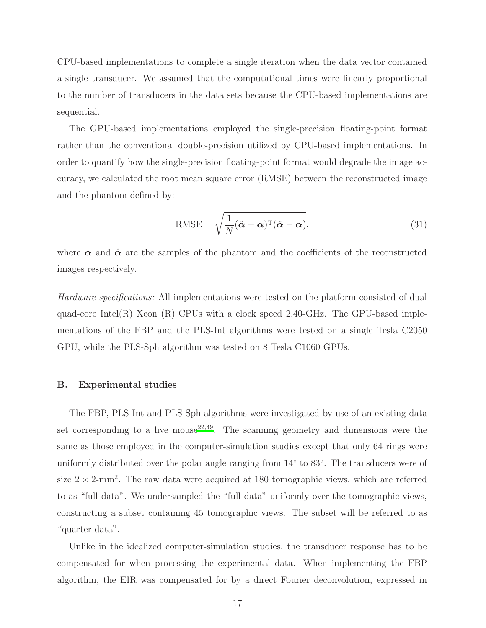CPU-based implementations to complete a single iteration when the data vector contained a single transducer. We assumed that the computational times were linearly proportional to the number of transducers in the data sets because the CPU-based implementations are sequential.

The GPU-based implementations employed the single-precision floating-point format rather than the conventional double-precision utilized by CPU-based implementations. In order to quantify how the single-precision floating-point format would degrade the image accuracy, we calculated the root mean square error (RMSE) between the reconstructed image and the phantom defined by:

RMSE = 
$$
\sqrt{\frac{1}{N}(\hat{\alpha} - \alpha)^T(\hat{\alpha} - \alpha)},
$$
 (31)

where  $\alpha$  and  $\hat{\alpha}$  are the samples of the phantom and the coefficients of the reconstructed images respectively.

Hardware specifications: All implementations were tested on the platform consisted of dual quad-core Intel(R) Xeon (R) CPUs with a clock speed 2.40-GHz. The GPU-based implementations of the FBP and the PLS-Int algorithms were tested on a single Tesla C2050 GPU, while the PLS-Sph algorithm was tested on 8 Tesla C1060 GPUs.

#### B. Experimental studies

The FBP, PLS-Int and PLS-Sph algorithms were investigated by use of an existing data set corresponding to a live mouse  $2^{2,49}$  $2^{2,49}$  $2^{2,49}$ . The scanning geometry and dimensions were the same as those employed in the computer-simulation studies except that only 64 rings were uniformly distributed over the polar angle ranging from 14<sup>°</sup> to 83<sup>°</sup>. The transducers were of size  $2 \times 2$ -mm<sup>2</sup>. The raw data were acquired at 180 tomographic views, which are referred to as "full data". We undersampled the "full data" uniformly over the tomographic views, constructing a subset containing 45 tomographic views. The subset will be referred to as "quarter data".

Unlike in the idealized computer-simulation studies, the transducer response has to be compensated for when processing the experimental data. When implementing the FBP algorithm, the EIR was compensated for by a direct Fourier deconvolution, expressed in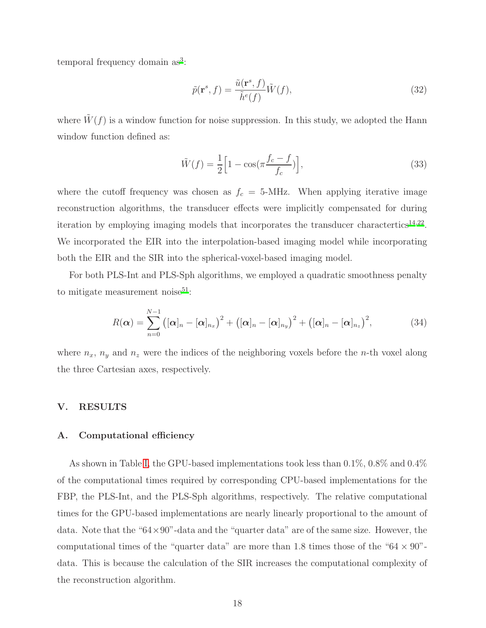temporal frequency domain as<sup>[3](#page-22-9)</sup>:

$$
\tilde{p}(\mathbf{r}^s, f) = \frac{\tilde{u}(\mathbf{r}^s, f)}{\tilde{h}^e(f)} \tilde{W}(f),
$$
\n(32)

where  $W(f)$  is a window function for noise suppression. In this study, we adopted the Hann window function defined as:

$$
\tilde{W}(f) = \frac{1}{2} \left[ 1 - \cos(\pi \frac{f_c - f}{f_c}) \right],\tag{33}
$$

where the cutoff frequency was chosen as  $f_c = 5$ -MHz. When applying iterative image reconstruction algorithms, the transducer effects were implicitly compensated for during iteration by employing imaging models that incorporates the transducer charactertics<sup>[14](#page-23-6)[,22](#page-23-7)</sup>. We incorporated the EIR into the interpolation-based imaging model while incorporating both the EIR and the SIR into the spherical-voxel-based imaging model.

For both PLS-Int and PLS-Sph algorithms, we employed a quadratic smoothness penalty to mitigate measurement noise $51$ :

$$
R(\boldsymbol{\alpha}) = \sum_{n=0}^{N-1} ((\boldsymbol{\alpha})_n - [\boldsymbol{\alpha}]_{n_x})^2 + ((\boldsymbol{\alpha})_n - [\boldsymbol{\alpha}]_{n_y})^2 + ((\boldsymbol{\alpha})_n - [\boldsymbol{\alpha}]_{n_z})^2, \qquad (34)
$$

where  $n_x$ ,  $n_y$  and  $n_z$  were the indices of the neighboring voxels before the n-th voxel along the three Cartesian axes, respectively.

#### <span id="page-17-0"></span>V. RESULTS

#### A. Computational efficiency

As shown in Table [I,](#page-39-0) the GPU-based implementations took less than 0.1%, 0.8% and 0.4% of the computational times required by corresponding CPU-based implementations for the FBP, the PLS-Int, and the PLS-Sph algorithms, respectively. The relative computational times for the GPU-based implementations are nearly linearly proportional to the amount of data. Note that the " $64 \times 90$ "-data and the "quarter data" are of the same size. However, the computational times of the "quarter data" are more than 1.8 times those of the " $64 \times 90$ "data. This is because the calculation of the SIR increases the computational complexity of the reconstruction algorithm.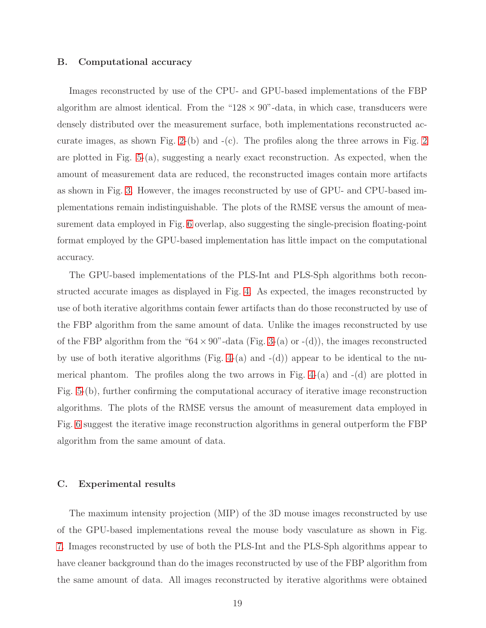#### B. Computational accuracy

Images reconstructed by use of the CPU- and GPU-based implementations of the FBP algorithm are almost identical. From the " $128 \times 90$ "-data, in which case, transducers were densely distributed over the measurement surface, both implementations reconstructed ac-curate images, as shown Fig. [2-](#page-40-0)(b) and  $-(c)$ . The profiles along the three arrows in Fig. [2](#page-40-0) are plotted in Fig. [5-](#page-43-0)(a), suggesting a nearly exact reconstruction. As expected, when the amount of measurement data are reduced, the reconstructed images contain more artifacts as shown in Fig. [3.](#page-41-0) However, the images reconstructed by use of GPU- and CPU-based implementations remain indistinguishable. The plots of the RMSE versus the amount of measurement data employed in Fig. [6](#page-44-0) overlap, also suggesting the single-precision floating-point format employed by the GPU-based implementation has little impact on the computational accuracy.

The GPU-based implementations of the PLS-Int and PLS-Sph algorithms both reconstructed accurate images as displayed in Fig. [4.](#page-42-0) As expected, the images reconstructed by use of both iterative algorithms contain fewer artifacts than do those reconstructed by use of the FBP algorithm from the same amount of data. Unlike the images reconstructed by use of the FBP algorithm from the " $64 \times 90$ "-data (Fig. [3-](#page-41-0)(a) or -(d)), the images reconstructed by use of both iterative algorithms (Fig. [4-](#page-42-0)(a) and  $-(d)$ ) appear to be identical to the numerical phantom. The profiles along the two arrows in Fig.  $4-(a)$  and  $-(d)$  are plotted in Fig. [5-](#page-43-0)(b), further confirming the computational accuracy of iterative image reconstruction algorithms. The plots of the RMSE versus the amount of measurement data employed in Fig. [6](#page-44-0) suggest the iterative image reconstruction algorithms in general outperform the FBP algorithm from the same amount of data.

#### C. Experimental results

The maximum intensity projection (MIP) of the 3D mouse images reconstructed by use of the GPU-based implementations reveal the mouse body vasculature as shown in Fig. [7.](#page-45-0) Images reconstructed by use of both the PLS-Int and the PLS-Sph algorithms appear to have cleaner background than do the images reconstructed by use of the FBP algorithm from the same amount of data. All images reconstructed by iterative algorithms were obtained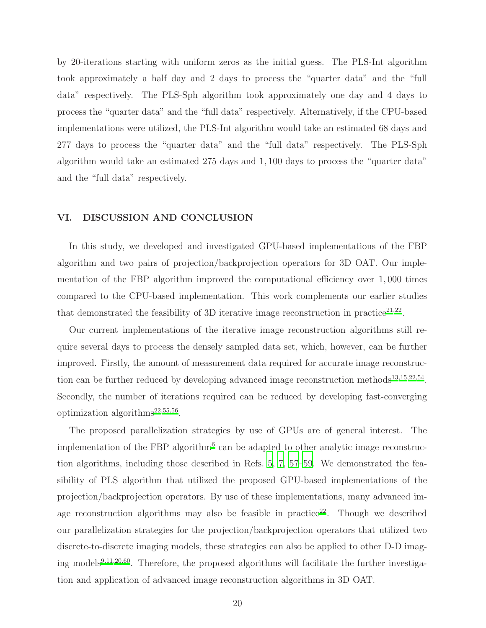by 20-iterations starting with uniform zeros as the initial guess. The PLS-Int algorithm took approximately a half day and 2 days to process the "quarter data" and the "full data" respectively. The PLS-Sph algorithm took approximately one day and 4 days to process the "quarter data" and the "full data" respectively. Alternatively, if the CPU-based implementations were utilized, the PLS-Int algorithm would take an estimated 68 days and 277 days to process the "quarter data" and the "full data" respectively. The PLS-Sph algorithm would take an estimated 275 days and 1, 100 days to process the "quarter data" and the "full data" respectively.

### <span id="page-19-0"></span>VI. DISCUSSION AND CONCLUSION

In this study, we developed and investigated GPU-based implementations of the FBP algorithm and two pairs of projection/backprojection operators for 3D OAT. Our implementation of the FBP algorithm improved the computational efficiency over 1, 000 times compared to the CPU-based implementation. This work complements our earlier studies that demonstrated the feasibility of 3D iterative image reconstruction in practice<sup>[21](#page-23-8)[,22](#page-23-7)</sup>.

Our current implementations of the iterative image reconstruction algorithms still require several days to process the densely sampled data set, which, however, can be further improved. Firstly, the amount of measurement data required for accurate image reconstruc-tion can be further reduced by developing advanced image reconstruction methods<sup>[13](#page-22-6)[,15](#page-23-1)[,22](#page-23-7)[,54](#page-26-2)</sup>. Secondly, the number of iterations required can be reduced by developing fast-converging optimization algorithms<sup>[22](#page-23-7)[,55](#page-26-3)[,56](#page-26-4)</sup>.

The proposed parallelization strategies by use of GPUs are of general interest. The implementation of the FBP algorithm<sup>[6](#page-22-8)</sup> can be adapted to other analytic image reconstruction algorithms, including those described in Refs. [5](#page-22-2), [7,](#page-22-10) [57](#page-26-5)[–59.](#page-26-6) We demonstrated the feasibility of PLS algorithm that utilized the proposed GPU-based implementations of the projection/backprojection operators. By use of these implementations, many advanced im-age reconstruction algorithms may also be feasible in practice<sup>[22](#page-23-7)</sup>. Though we described our parallelization strategies for the projection/backprojection operators that utilized two discrete-to-discrete imaging models, these strategies can also be applied to other D-D imag-ing models<sup>[9](#page-22-4)[,11](#page-22-11)[,20](#page-23-5)[,60](#page-26-7)</sup>. Therefore, the proposed algorithms will facilitate the further investigation and application of advanced image reconstruction algorithms in 3D OAT.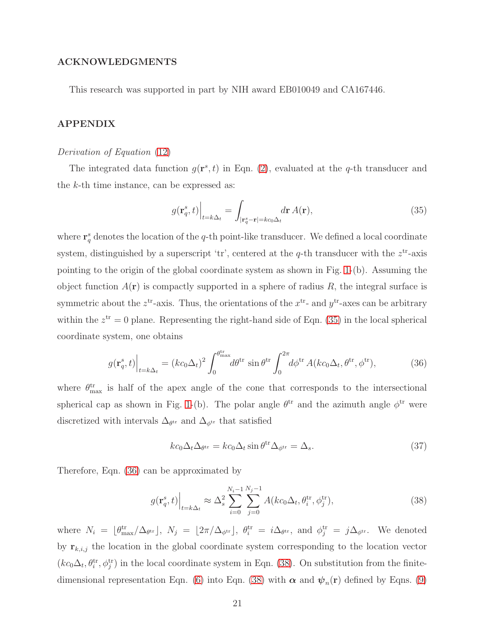### ACKNOWLEDGMENTS

This research was supported in part by NIH award EB010049 and CA167446.

### APPENDIX

#### Derivation of Equation [\(12\)](#page-6-1)

The integrated data function  $g(\mathbf{r}^s, t)$  in Eqn. [\(2\)](#page-4-1), evaluated at the q-th transducer and the k-th time instance, can be expressed as:

<span id="page-20-0"></span>
$$
g(\mathbf{r}_q^s, t)\Big|_{t=k\Delta_t} = \int_{|\mathbf{r}_q^s - \mathbf{r}| = kc_0\Delta_t} d\mathbf{r} \, A(\mathbf{r}),\tag{35}
$$

where  $\mathbf{r}_q^s$  denotes the location of the q-th point-like transducer. We defined a local coordinate system, distinguished by a superscript 'tr', centered at the q-th transducer with the  $z<sup>tr</sup>$ -axis pointing to the origin of the global coordinate system as shown in Fig. [1-](#page-29-0)(b). Assuming the object function  $A(\mathbf{r})$  is compactly supported in a sphere of radius R, the integral surface is symmetric about the  $z^{tr}$ -axis. Thus, the orientations of the  $x^{tr}$ - and  $y^{tr}$ -axes can be arbitrary within the  $z^{\text{tr}} = 0$  plane. Representing the right-hand side of Eqn. [\(35\)](#page-20-0) in the local spherical coordinate system, one obtains

<span id="page-20-1"></span>
$$
g(\mathbf{r}_q^s, t)\Big|_{t=k\Delta_t} = (kc_0\Delta_t)^2 \int_0^{\theta_{\text{max}}^{\text{tr}}} d\theta^{\text{tr}} \sin \theta^{\text{tr}} \int_0^{2\pi} d\phi^{\text{tr}} A(kc_0\Delta_t, \theta^{\text{tr}}, \phi^{\text{tr}}), \tag{36}
$$

where  $\theta_{\text{max}}^{\text{tr}}$  is half of the apex angle of the cone that corresponds to the intersectional spherical cap as shown in Fig. [1-](#page-29-0)(b). The polar angle  $\theta^{tr}$  and the azimuth angle  $\phi^{tr}$  were discretized with intervals  $\Delta_{\theta^{tr}}$  and  $\Delta_{\phi^{tr}}$  that satisfied

$$
kc_0\Delta_t\Delta_{\theta^{\text{tr}}} = kc_0\Delta_t \sin \theta^{\text{tr}}\Delta_{\phi^{\text{tr}}} = \Delta_s.
$$
 (37)

Therefore, Eqn. [\(36\)](#page-20-1) can be approximated by

<span id="page-20-2"></span>
$$
g(\mathbf{r}_q^s, t)\Big|_{t=k\Delta_t} \approx \Delta_s^2 \sum_{i=0}^{N_i-1} \sum_{j=0}^{N_j-1} A(kc_0\Delta_t, \theta_i^{\text{tr}}, \phi_j^{\text{tr}}),\tag{38}
$$

where  $N_i = \lfloor \theta_{\text{max}}^{\text{tr}} / \Delta_{\theta^{\text{tr}}} \rfloor$ ,  $N_j = \lfloor 2\pi/\Delta_{\phi^{\text{tr}}} \rfloor$ ,  $\theta_i^{\text{tr}} = i\Delta_{\theta^{\text{tr}}}$ , and  $\phi_j^{\text{tr}} = j\Delta_{\phi^{\text{tr}}}$ . We denoted by  $\mathbf{r}_{k,i,j}$  the location in the global coordinate system corresponding to the location vector  $(kc_0\Delta_t, \theta_i^{\text{tr}}, \phi_j^{\text{tr}})$  in the local coordinate system in Eqn. [\(38\)](#page-20-2). On substitution from the finite-dimensional representation Eqn. [\(6\)](#page-5-0) into Eqn. [\(38\)](#page-20-2) with  $\alpha$  and  $\psi_n(\mathbf{r})$  defined by Eqns. [\(9\)](#page-5-2)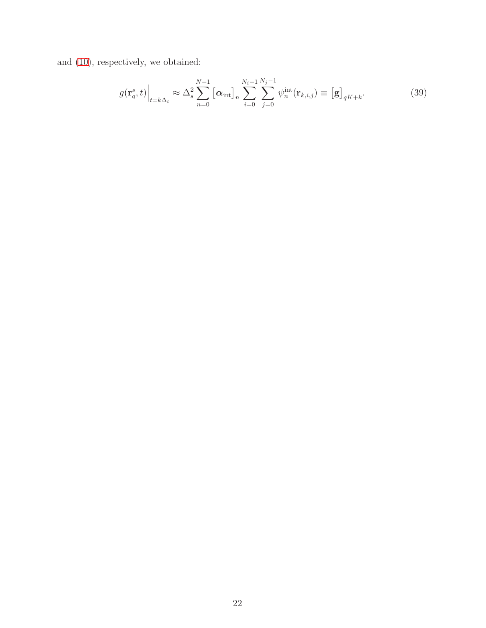and [\(10\)](#page-6-0), respectively, we obtained:

$$
g(\mathbf{r}_q^s, t)\Big|_{t=k\Delta_t} \approx \Delta_s^2 \sum_{n=0}^{N-1} \left[\boldsymbol{\alpha}_{\text{int}}\right]_n \sum_{i=0}^{N_i-1} \sum_{j=0}^{N_j-1} \psi_n^{\text{int}}(\mathbf{r}_{k,i,j}) \equiv \left[\mathbf{g}\right]_{qK+k}.
$$
 (39)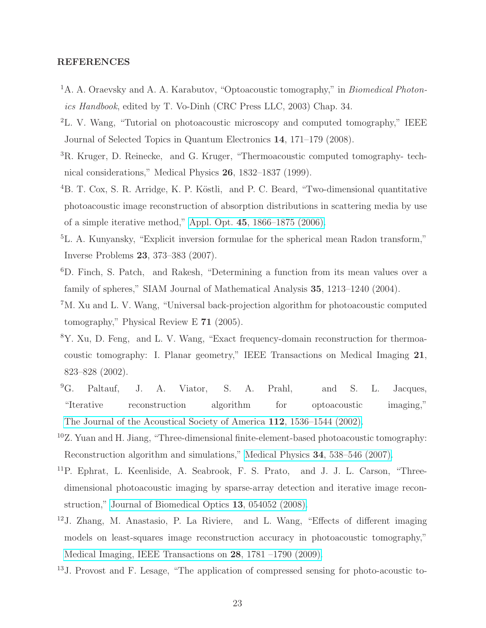### REFERENCES

- <span id="page-22-0"></span><sup>1</sup>A. A. Oraevsky and A. A. Karabutov, "Optoacoustic tomography," in *Biomedical Photon*ics Handbook, edited by T. Vo-Dinh (CRC Press LLC, 2003) Chap. 34.
- <sup>2</sup>L. V. Wang, "Tutorial on photoacoustic microscopy and computed tomography," IEEE Journal of Selected Topics in Quantum Electronics 14, 171–179 (2008).
- <span id="page-22-9"></span><sup>3</sup>R. Kruger, D. Reinecke, and G. Kruger, "Thermoacoustic computed tomography- technical considerations," Medical Physics 26, 1832–1837 (1999).
- <span id="page-22-1"></span><sup>4</sup>B. T. Cox, S. R. Arridge, K. P. Köstli, and P. C. Beard, "Two-dimensional quantitative photoacoustic image reconstruction of absorption distributions in scattering media by use of a simple iterative method," Appl. Opt. 45[, 1866–1875 \(2006\).](http://dx.doi.org/ 10.1364/AO.45.001866)
- <span id="page-22-2"></span><sup>5</sup>L. A. Kunyansky, "Explicit inversion formulae for the spherical mean Radon transform," Inverse Problems 23, 373–383 (2007).
- <span id="page-22-8"></span><sup>6</sup>D. Finch, S. Patch, and Rakesh, "Determining a function from its mean values over a family of spheres," SIAM Journal of Mathematical Analysis 35, 1213–1240 (2004).
- <span id="page-22-10"></span><sup>7</sup>M. Xu and L. V. Wang, "Universal back-projection algorithm for photoacoustic computed tomography," Physical Review E 71 (2005).
- <span id="page-22-3"></span><sup>8</sup>Y. Xu, D. Feng, and L. V. Wang, "Exact frequency-domain reconstruction for thermoacoustic tomography: I. Planar geometry," IEEE Transactions on Medical Imaging 21, 823–828 (2002).
- <span id="page-22-4"></span><sup>9</sup>G. Paltauf, J. A. Viator, S. A. Prahl, and S. L. Jacques, "Iterative reconstruction algorithm for optoacoustic imaging," [The Journal of the Acoustical Society of America](http://dx.doi.org/10.1121/1.1501898) 112, 1536–1544 (2002).
- <span id="page-22-5"></span><sup>10</sup>Z. Yuan and H. Jiang, "Three-dimensional finite-element-based photoacoustic tomography: Reconstruction algorithm and simulations," Medical Physics 34[, 538–546 \(2007\).](http://dx.doi.org/10.1118/1.2409234)
- <span id="page-22-11"></span><sup>11</sup>P. Ephrat, L. Keenliside, A. Seabrook, F. S. Prato, and J. J. L. Carson, "Threedimensional photoacoustic imaging by sparse-array detection and iterative image reconstruction," [Journal of Biomedical Optics](http://dx.doi.org/10.1117/1.2992131) 13, 054052 (2008).
- <span id="page-22-7"></span><sup>12</sup>J. Zhang, M. Anastasio, P. La Riviere, and L. Wang, "Effects of different imaging models on least-squares image reconstruction accuracy in photoacoustic tomography," [Medical Imaging, IEEE Transactions on](http://dx.doi.org/10.1109/TMI.2009.2024082) 28, 1781 –1790 (2009).
- <span id="page-22-6"></span><sup>13</sup>J. Provost and F. Lesage, "The application of compressed sensing for photo-acoustic to-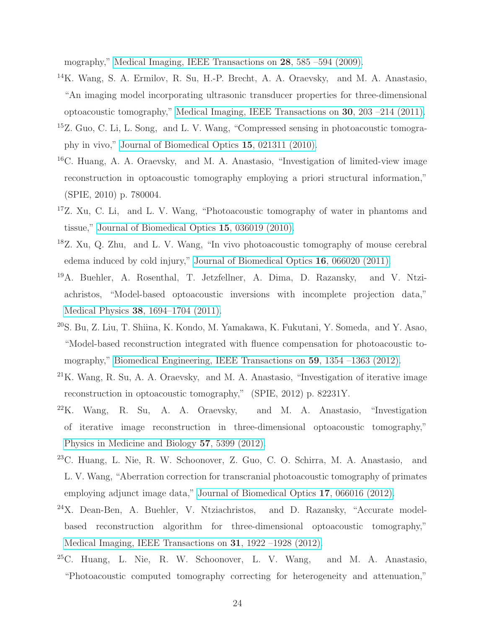mography," [Medical Imaging, IEEE Transactions on](http://dx.doi.org/ 10.1109/TMI.2008.2007825) 28, 585 –594 (2009).

- <span id="page-23-6"></span><sup>14</sup>K. Wang, S. A. Ermilov, R. Su, H.-P. Brecht, A. A. Oraevsky, and M. A. Anastasio, "An imaging model incorporating ultrasonic transducer properties for three-dimensional optoacoustic tomography," [Medical Imaging, IEEE Transactions on](http://dx.doi.org/10.1109/TMI.2010.2072514) 30, 203 –214 (2011).
- <span id="page-23-1"></span><sup>15</sup>Z. Guo, C. Li, L. Song, and L. V. Wang, "Compressed sensing in photoacoustic tomography in vivo," [Journal of Biomedical Optics](http://dx.doi.org/10.1117/1.3381187) 15, 021311 (2010).
- <span id="page-23-2"></span><sup>16</sup>C. Huang, A. A. Oraevsky, and M. A. Anastasio, "Investigation of limited-view image reconstruction in optoacoustic tomography employing a priori structural information," (SPIE, 2010) p. 780004.
- <sup>17</sup>Z. Xu, C. Li, and L. V. Wang, "Photoacoustic tomography of water in phantoms and tissue," [Journal of Biomedical Optics](http://dx.doi.org/10.1117/1.3443793) 15, 036019 (2010).
- <sup>18</sup>Z. Xu, Q. Zhu, and L. V. Wang, "In vivo photoacoustic tomography of mouse cerebral edema induced by cold injury," [Journal of Biomedical Optics](http://dx.doi.org/ 10.1117/1.3584847) 16, 066020 (2011).
- <span id="page-23-3"></span><sup>19</sup>A. Buehler, A. Rosenthal, T. Jetzfellner, A. Dima, D. Razansky, and V. Ntziachristos, "Model-based optoacoustic inversions with incomplete projection data," Medical Physics 38[, 1694–1704 \(2011\).](http://dx.doi.org/10.1118/1.3556916)
- <span id="page-23-5"></span><sup>20</sup>S. Bu, Z. Liu, T. Shiina, K. Kondo, M. Yamakawa, K. Fukutani, Y. Someda, and Y. Asao, "Model-based reconstruction integrated with fluence compensation for photoacoustic tomography," [Biomedical Engineering, IEEE Transactions on](http://dx.doi.org/10.1109/TBME.2012.2187649) 59, 1354 –1363 (2012).
- <span id="page-23-8"></span> $21$ K. Wang, R. Su, A. A. Oraevsky, and M. A. Anastasio, "Investigation of iterative image reconstruction in optoacoustic tomography," (SPIE, 2012) p. 82231Y.
- <span id="page-23-7"></span> $^{22}$ K. Wang, R. Su, A. A. Oraevsky, and M. A. Anastasio, "Investigation" of iterative image reconstruction in three-dimensional optoacoustic tomography," [Physics in Medicine and Biology](http://stacks.iop.org/0031-9155/57/i=17/a=5399) 57, 5399 (2012).
- <sup>23</sup>C. Huang, L. Nie, R. W. Schoonover, Z. Guo, C. O. Schirra, M. A. Anastasio, and L. V. Wang, "Aberration correction for transcranial photoacoustic tomography of primates employing adjunct image data," [Journal of Biomedical Optics](http://dx.doi.org/ 10.1117/1.JBO.17.6.066016) 17, 066016 (2012).
- <span id="page-23-0"></span><sup>24</sup>X. Dean-Ben, A. Buehler, V. Ntziachristos, and D. Razansky, "Accurate modelbased reconstruction algorithm for three-dimensional optoacoustic tomography," [Medical Imaging, IEEE Transactions on](http://dx.doi.org/ 10.1109/TMI.2012.2208471) 31, 1922 –1928 (2012).
- <span id="page-23-4"></span> $^{25}$ C. Huang, L. Nie, R. W. Schoonover, L. V. Wang, and M. A. Anastasio, "Photoacoustic computed tomography correcting for heterogeneity and attenuation,"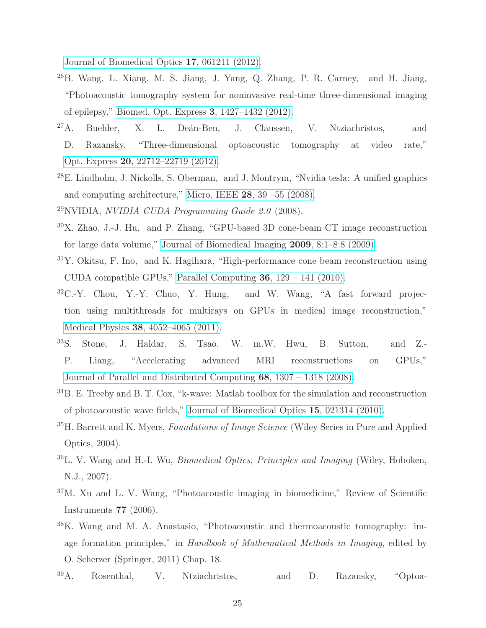[Journal of Biomedical Optics](http://dx.doi.org/ 10.1117/1.JBO.17.6.061211) 17, 061211 (2012).

- <span id="page-24-0"></span><sup>26</sup>B. Wang, L. Xiang, M. S. Jiang, J. Yang, Q. Zhang, P. R. Carney, and H. Jiang, "Photoacoustic tomography system for noninvasive real-time three-dimensional imaging of epilepsy," [Biomed. Opt. Express](http://dx.doi.org/10.1364/BOE.3.001427) 3, 1427–1432 (2012).
- <span id="page-24-1"></span> $27A$ . Buehler, X. L. Deán-Ben, J. Claussen, V. Ntziachristos, and D. Razansky, "Three-dimensional optoacoustic tomography at video rate," Opt. Express 20[, 22712–22719 \(2012\).](http://dx.doi.org/ 10.1364/OE.20.022712)
- <span id="page-24-2"></span><sup>28</sup>E. Lindholm, J. Nickolls, S. Oberman, and J. Montrym, "Nvidia tesla: A unified graphics and computing architecture," Micro, IEEE 28[, 39 –55 \(2008\).](http://dx.doi.org/10.1109/MM.2008.31)
- <span id="page-24-3"></span> $^{29}$ NVIDIA, *NVIDIA CUDA Programming Guide 2.0* (2008).
- <span id="page-24-4"></span><sup>30</sup>X. Zhao, J.-J. Hu, and P. Zhang, "GPU-based 3D cone-beam CT image reconstruction for large data volume," [Journal of Biomedical Imaging](http://dx.doi.org/ 10.1155/2009/149079) 2009, 8:1–8:8 (2009).
- <span id="page-24-13"></span><sup>31</sup>Y. Okitsu, F. Ino, and K. Hagihara, "High-performance cone beam reconstruction using CUDA compatible GPUs," [Parallel Computing](http://dx.doi.org/ 10.1016/j.parco.2010.01.004) 36, 129 – 141 (2010).
- <span id="page-24-5"></span> $32C-Y$ . Chou, Y.-Y. Chuo, Y. Hung, and W. Wang, "A fast forward projection using multithreads for multirays on GPUs in medical image reconstruction," Medical Physics 38[, 4052–4065 \(2011\).](http://dx.doi.org/ 10.1118/1.3591994)
- <span id="page-24-6"></span><sup>33</sup>S. Stone, J. Haldar, S. Tsao, W. m.W. Hwu, B. Sutton, and Z.- P. Liang, "Accelerating advanced MRI reconstructions on GPUs," [Journal of Parallel and Distributed Computing](http://dx.doi.org/10.1016/j.jpdc.2008.05.013) 68, 1307 – 1318 (2008).
- <span id="page-24-7"></span><sup>34</sup>B. E. Treeby and B. T. Cox, "k-wave: Matlab toolbox for the simulation and reconstruction of photoacoustic wave fields," [Journal of Biomedical Optics](http://dx.doi.org/10.1117/1.3360308) 15, 021314 (2010).
- <span id="page-24-8"></span><sup>35</sup>H. Barrett and K. Myers, *Foundations of Image Science* (Wiley Series in Pure and Applied Optics, 2004).
- <span id="page-24-9"></span><sup>36</sup>L. V. Wang and H.-I. Wu, Biomedical Optics, Principles and Imaging (Wiley, Hoboken, N.J., 2007).
- <span id="page-24-10"></span><sup>37</sup>M. Xu and L. V. Wang, "Photoacoustic imaging in biomedicine," Review of Scientific Instruments 77 (2006).
- <span id="page-24-11"></span><sup>38</sup>K. Wang and M. A. Anastasio, "Photoacoustic and thermoacoustic tomography: image formation principles," in Handbook of Mathematical Methods in Imaging, edited by O. Scherzer (Springer, 2011) Chap. 18.
- <span id="page-24-12"></span><sup>39</sup>A. Rosenthal, V. Ntziachristos, and D. Razansky, "Optoa-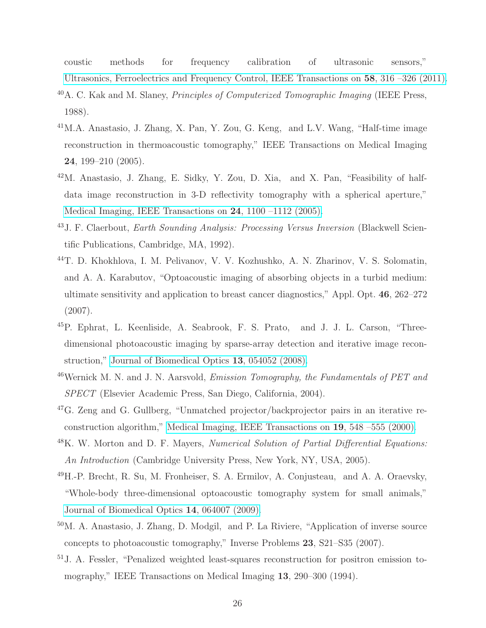coustic methods for frequency calibration of ultrasonic sensors," [Ultrasonics, Ferroelectrics and Frequency Control, IEEE Transactions on](http://dx.doi.org/ 10.1109/TUFFC.2011.1809) 58, 316 –326 (2011).

- <span id="page-25-0"></span><sup>40</sup>A. C. Kak and M. Slaney, Principles of Computerized Tomographic Imaging (IEEE Press, 1988).
- <span id="page-25-1"></span><sup>41</sup>M.A. Anastasio, J. Zhang, X. Pan, Y. Zou, G. Keng, and L.V. Wang, "Half-time image reconstruction in thermoacoustic tomography," IEEE Transactions on Medical Imaging 24, 199–210 (2005).
- <span id="page-25-2"></span><sup>42</sup>M. Anastasio, J. Zhang, E. Sidky, Y. Zou, D. Xia, and X. Pan, "Feasibility of halfdata image reconstruction in 3-D reflectivity tomography with a spherical aperture," [Medical Imaging, IEEE Transactions on](http://dx.doi.org/ 10.1109/TMI.2005.852055) 24, 1100 –1112 (2005).
- <span id="page-25-3"></span><sup>43</sup>J. F. Claerbout, Earth Sounding Analysis: Processing Versus Inversion (Blackwell Scientific Publications, Cambridge, MA, 1992).
- <span id="page-25-4"></span><sup>44</sup>T. D. Khokhlova, I. M. Pelivanov, V. V. Kozhushko, A. N. Zharinov, V. S. Solomatin, and A. A. Karabutov, "Optoacoustic imaging of absorbing objects in a turbid medium: ultimate sensitivity and application to breast cancer diagnostics," Appl. Opt. 46, 262–272 (2007).
- <span id="page-25-5"></span><sup>45</sup>P. Ephrat, L. Keenliside, A. Seabrook, F. S. Prato, and J. J. L. Carson, "Threedimensional photoacoustic imaging by sparse-array detection and iterative image reconstruction," [Journal of Biomedical Optics](http://dx.doi.org/10.1117/1.2992131) 13, 054052 (2008).
- <span id="page-25-6"></span> $46$ Wernick M. N. and J. N. Aarsvold, *Emission Tomography*, the Fundamentals of PET and SPECT (Elsevier Academic Press, San Diego, California, 2004).
- <span id="page-25-7"></span><sup>47</sup>G. Zeng and G. Gullberg, "Unmatched projector/backprojector pairs in an iterative reconstruction algorithm," [Medical Imaging, IEEE Transactions on](http://dx.doi.org/10.1109/42.870265) 19, 548 –555 (2000).
- <span id="page-25-8"></span><sup>48</sup>K. W. Morton and D. F. Mayers, *Numerical Solution of Partial Differential Equations:* An Introduction (Cambridge University Press, New York, NY, USA, 2005).
- <span id="page-25-9"></span><sup>49</sup>H.-P. Brecht, R. Su, M. Fronheiser, S. A. Ermilov, A. Conjusteau, and A. A. Oraevsky, "Whole-body three-dimensional optoacoustic tomography system for small animals," [Journal of Biomedical Optics](http://dx.doi.org/10.1117/1.3259361) 14, 064007 (2009).
- <span id="page-25-10"></span><sup>50</sup>M. A. Anastasio, J. Zhang, D. Modgil, and P. La Riviere, "Application of inverse source concepts to photoacoustic tomography," Inverse Problems 23, S21–S35 (2007).
- <span id="page-25-11"></span><sup>51</sup>J. A. Fessler, "Penalized weighted least-squares reconstruction for positron emission tomography," IEEE Transactions on Medical Imaging 13, 290–300 (1994).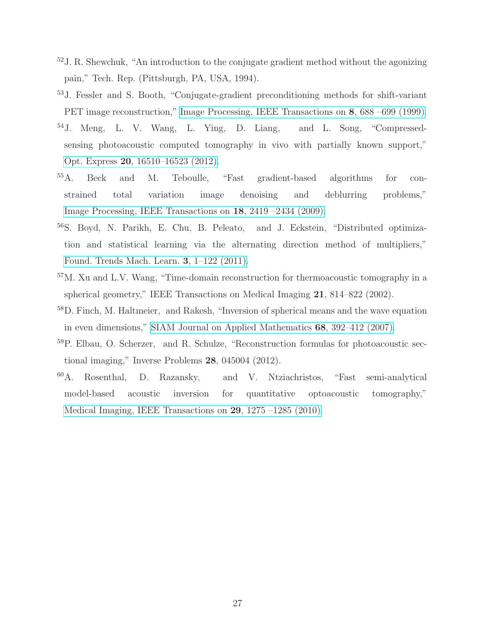- <span id="page-26-0"></span> $52$  J. R. Shewchuk, "An introduction to the conjugate gradient method without the agonizing pain," Tech. Rep. (Pittsburgh, PA, USA, 1994).
- <span id="page-26-1"></span><sup>53</sup>J. Fessler and S. Booth, "Conjugate-gradient preconditioning methods for shift-variant PET image reconstruction," [Image Processing, IEEE Transactions](http://dx.doi.org/10.1109/83.760336) on 8, 688 –699 (1999).
- <span id="page-26-2"></span><sup>54</sup>J. Meng, L. V. Wang, L. Ying, D. Liang, and L. Song, "Compressedsensing photoacoustic computed tomography in vivo with partially known support," Opt. Express 20[, 16510–16523 \(2012\).](http://dx.doi.org/10.1364/OE.20.016510)
- <span id="page-26-3"></span><sup>55</sup>A. Beck and M. Teboulle, "Fast gradient-based algorithms for constrained total variation image denoising and deblurring problems," [Image Processing, IEEE Transactions on](http://dx.doi.org/10.1109/TIP.2009.2028250) 18, 2419 –2434 (2009).
- <span id="page-26-4"></span><sup>56</sup>S. Boyd, N. Parikh, E. Chu, B. Peleato, and J. Eckstein, "Distributed optimization and statistical learning via the alternating direction method of multipliers," [Found. Trends Mach. Learn.](http://dx.doi.org/ 10.1561/2200000016) 3, 1–122 (2011).
- <span id="page-26-5"></span><sup>57</sup>M. Xu and L.V. Wang, "Time-domain reconstruction for thermoacoustic tomography in a spherical geometry," IEEE Transactions on Medical Imaging 21, 814–822 (2002).
- <sup>58</sup>D. Finch, M. Haltmeier, and Rakesh, "Inversion of spherical means and the wave equation in even dimensions," [SIAM Journal on Applied Mathematics](http://dx.doi.org/10.1137/070682137) 68, 392–412 (2007).
- <span id="page-26-6"></span><sup>59</sup>P. Elbau, O. Scherzer, and R. Schulze, "Reconstruction formulas for photoacoustic sectional imaging," Inverse Problems 28, 045004 (2012).
- <span id="page-26-7"></span><sup>60</sup>A. Rosenthal, D. Razansky, and V. Ntziachristos, "Fast semi-analytical model-based acoustic inversion for quantitative optoacoustic tomography," [Medical Imaging, IEEE Transactions on](http://dx.doi.org/10.1109/TMI.2010.2044584) 29, 1275 –1285 (2010).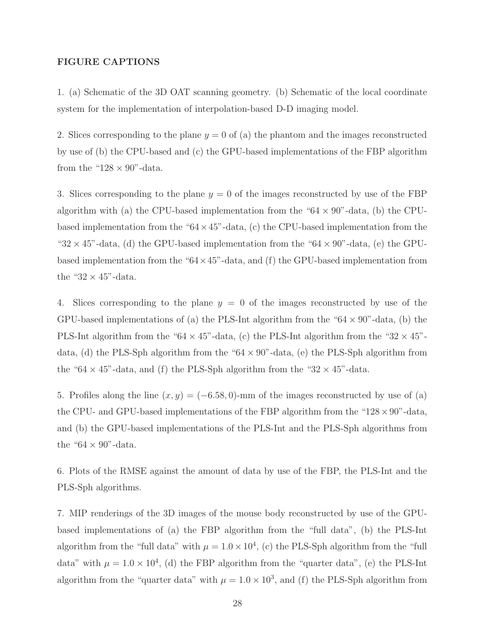### FIGURE CAPTIONS

1. (a) Schematic of the 3D OAT scanning geometry. (b) Schematic of the local coordinate system for the implementation of interpolation-based D-D imaging model.

2. Slices corresponding to the plane  $y = 0$  of (a) the phantom and the images reconstructed by use of (b) the CPU-based and (c) the GPU-based implementations of the FBP algorithm from the " $128 \times 90$ "-data.

3. Slices corresponding to the plane  $y = 0$  of the images reconstructed by use of the FBP algorithm with (a) the CPU-based implementation from the " $64 \times 90$ "-data, (b) the CPUbased implementation from the " $64 \times 45$ "-data, (c) the CPU-based implementation from the " $32 \times 45$ "-data, (d) the GPU-based implementation from the " $64 \times 90$ "-data, (e) the GPUbased implementation from the " $64 \times 45$ "-data, and (f) the GPU-based implementation from the " $32 \times 45$ "-data.

4. Slices corresponding to the plane  $y = 0$  of the images reconstructed by use of the GPU-based implementations of (a) the PLS-Int algorithm from the " $64 \times 90$ "-data, (b) the PLS-Int algorithm from the "64  $\times$  45"-data, (c) the PLS-Int algorithm from the "32  $\times$  45"data, (d) the PLS-Sph algorithm from the " $64 \times 90$ "-data, (e) the PLS-Sph algorithm from the "64  $\times$  45"-data, and (f) the PLS-Sph algorithm from the "32  $\times$  45"-data.

5. Profiles along the line  $(x, y) = (-6.58, 0)$ -mm of the images reconstructed by use of (a) the CPU- and GPU-based implementations of the FBP algorithm from the " $128 \times 90$ "-data, and (b) the GPU-based implementations of the PLS-Int and the PLS-Sph algorithms from the " $64 \times 90$ "-data.

6. Plots of the RMSE against the amount of data by use of the FBP, the PLS-Int and the PLS-Sph algorithms.

7. MIP renderings of the 3D images of the mouse body reconstructed by use of the GPUbased implementations of (a) the FBP algorithm from the "full data", (b) the PLS-Int algorithm from the "full data" with  $\mu = 1.0 \times 10^4$ , (c) the PLS-Sph algorithm from the "full data" with  $\mu = 1.0 \times 10^4$ , (d) the FBP algorithm from the "quarter data", (e) the PLS-Int algorithm from the "quarter data" with  $\mu = 1.0 \times 10^3$ , and (f) the PLS-Sph algorithm from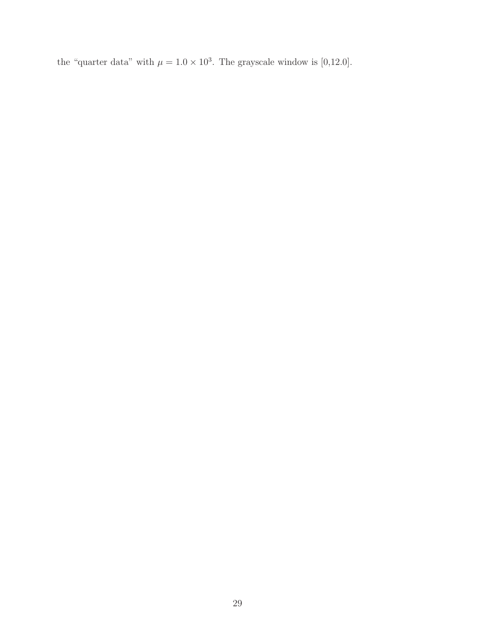the "quarter data" with  $\mu = 1.0 \times 10^3$ . The grayscale window is [0,12.0].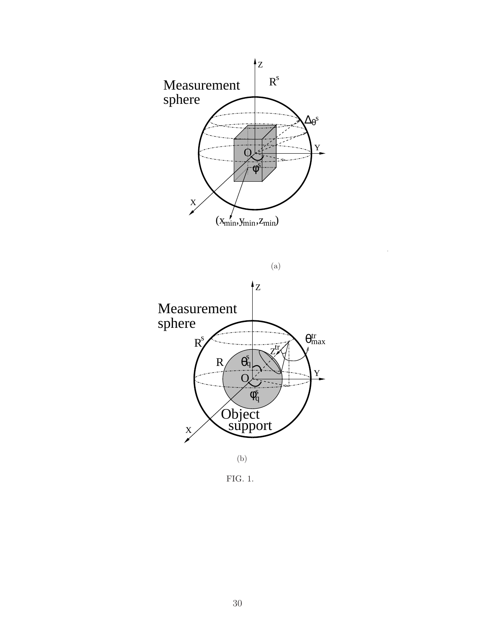



<span id="page-29-0"></span>FIG. 1.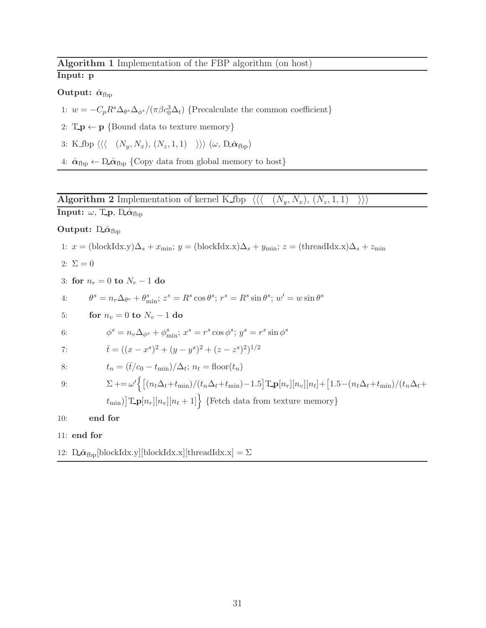# <span id="page-30-0"></span>Algorithm 1 Implementation of the FBP algorithm (on host)

### Input: p

### Output:  $\hat{\alpha}_{\text{fbp}}$

- 1:  $w = -C_p R^s \Delta_{\theta^s} \Delta_{\phi^s} / (\pi \beta c_0^3 \Delta_t)$  {Precalculate the common coefficient}
- 2:  $T_p \leftarrow p$  {Bound data to texture memory}
- 3: K fbp  $\langle \langle (N_y, N_x), (N_z, 1, 1) \rangle \rangle \langle \omega, D \hat{\alpha}_{fbp} \rangle$
- 4:  $\hat{\alpha}_{\text{fbp}} \leftarrow D \hat{\alpha}_{\text{fbp}}$  {Copy data from global memory to host}

### <span id="page-30-1"></span>**Algorithm 2** Implementation of kernel K fbp  $\langle \langle (N_y, N_x), (N_z, 1, 1) \rangle \rangle \rangle$

Input:  $\omega$ , T.p, D. $\hat{\alpha}_{\text{fbp}}$ 

### Output:  $\hat{D} \hat{\alpha}_{fbp}$

1: 
$$
x = (\text{blockIdx.y})\Delta_s + x_{\text{min}}
$$
;  $y = (\text{blockIdx.x})\Delta_s + y_{\text{min}}$ ;  $z = (\text{threadIdx.x})\Delta_s + z_{\text{min}}$ 

$$
2\colon\thinspace\Sigma=0
$$

3: for  $n_r = 0$  to  $N_r - 1$  do

4: 
$$
\theta^s = n_r \Delta_{\theta^s} + \theta^s_{\min}; z^s = R^s \cos \theta^s; r^s = R^s \sin \theta^s; w' = w \sin \theta^s
$$

5: for 
$$
n_v = 0
$$
 to  $N_v - 1$  do

6: 
$$
\phi^s = n_v \Delta_{\phi^s} + \phi^s_{\min}; x^s = r^s \cos \phi^s; y^s = r^s \sin \phi^s
$$

7: 
$$
\bar{t} = ((x - x^s)^2 + (y - y^s)^2 + (z - z^s)^2)^{1/2}
$$

8: 
$$
t_n = (\overline{t}/c_0 - t_{\min})/\Delta_t; n_t = \text{floor}(t_n)
$$

$$
9{:}
$$

9: 
$$
\Sigma + = \omega' \Big\{ \big[ (n_t \Delta_t + t_{\min})/(t_n \Delta_t + t_{\min}) - 1.5 \big] \text{Tr} [n_r] [n_v] [n_t] + \big[ 1.5 - (n_t \Delta_t + t_{\min})/(t_n \Delta_t + t_{\min}) \big] \text{Tr} [n_r] [n_v] [n_t + 1] \Big\}
$$
 {Fetch data from texture memory}

10: end for

#### 11: end for

12:  $\hat{\mathbf{D}} \hat{\boldsymbol{\alpha}}_{\text{fbp}}$ [blockIdx.y][blockIdx.x][threadIdx.x] =  $\Sigma$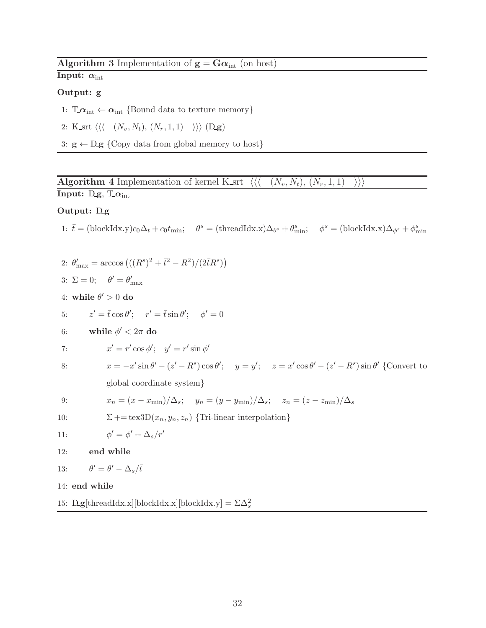### <span id="page-31-0"></span>Algorithm 3 Implementation of  $g = G\alpha_{int}$  (on host)

Input:  $\alpha_{\text{int}}$ 

### Output: g

- 1:  $T_{\text{.}} \alpha_{\text{int}} \left\{ \text{Bound data to texture memory} \right\}$
- 2: K\_srt  $\langle \langle (N_v, N_t), (N_r, 1, 1) \rangle \rangle \rangle$  (D\_g)
- 3:  $g \leftarrow Dg$  {Copy data from global memory to host}

<span id="page-31-1"></span>**Algorithm 4** Implementation of kernel K srt  $\langle\langle (N_v, N_t), (N_r, 1, 1) \rangle\rangle\rangle$ 

# Input:  $D_{\mathbf{g}}, T_{\alpha_{int}}$

### Output: Dg

1:  $\bar{t} = (\text{blockIdx.y})c_0\Delta_t + c_0t_{\text{min}}; \quad \theta^s = (\text{threadIdx.x})\Delta_{\theta^s} + \theta_{\text{min}}^s; \quad \phi^s = (\text{blockIdx.x})\Delta_{\phi^s} + \phi_{\text{min}}^s$ 

2: 
$$
\theta'_{\text{max}} = \arccos (((R^s)^2 + \bar{t}^2 - R^2)/(2\bar{t}R^s))
$$
  
\n3:  $\Sigma = 0$ ;  $\theta' = \theta'_{\text{max}}$   
\n4: while  $\theta' > 0$  do  
\n5:  $z' = \bar{t} \cos \theta'; \quad r' = \bar{t} \sin \theta'; \quad \phi' = 0$   
\n6:  $\text{while } \phi' < 2\pi \text{ do}$   
\n7:  $x' = r' \cos \phi'; \quad y' = r' \sin \phi'$   
\n8:  $x = -x' \sin \theta' - (z' - R^s) \cos \theta'; \quad y = y'; \quad z = x' \cos \theta' - (z' - R^s) \sin \theta' \text{ (Convert to global coordinate system)}$   
\n9:  $x_n = (x - x_{\text{min}})/\Delta_s; \quad y_n = (y - y_{\text{min}})/\Delta_s; \quad z_n = (z - z_{\text{min}})/\Delta_s$   
\n10:  $\Sigma + = \text{tex3D}(x_n, y_n, z_n) \text{ {Tri-linear interpolation}}$   
\n11:  $\phi' = \phi' + \Delta_s/r'$   
\n12: **end while**  
\n13:  $\theta' = \theta' - \Delta_s/\bar{t}$   
\n14: **end while**  
\n15:  $\text{Dg}[\text{threadIdx.x}][\text{blockIdx.y}][\text{blockIdx.y} = \Sigma \Delta_s^2$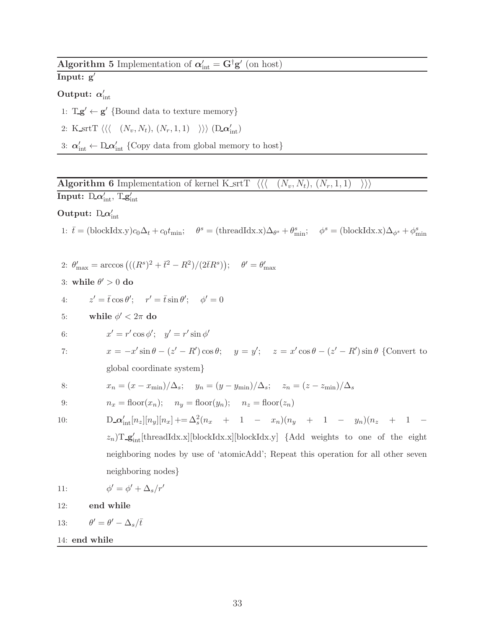<span id="page-32-0"></span>Algorithm 5 Implementation of  $\alpha'_{\rm int} = G^{\dagger} g'$  (on host)

Input: g′

### Output:  $\alpha_{\rm int}'$

- 1:  $T_g' \leftarrow g'$  {Bound data to texture memory}
- 2: K\_srtT  $\langle \langle (N_v, N_t), (N_r, 1, 1) \rangle \rangle \rangle$  (D\_ $\alpha'_{\text{int}}$ )
- 3:  $\alpha'_{\text{int}} \leftarrow \mathcal{D} \alpha'_{\text{int}}$  {Copy data from global memory to host}

<span id="page-32-1"></span>**Algorithm 6** Implementation of kernel K\_srtT  $\langle\langle (N_v, N_t), (N_r, 1, 1) \rangle\rangle\rangle$  $\text{Input: } \mathrm{D}\alpha'_{\text{int}}, \mathrm{T}\mathbf{g}'_{\text{int}}$ 

Output:  $D\alpha'_{\text{int}}$ 

1:  $\bar{t} = (\text{blockIdx.y})c_0\Delta_t + c_0t_{\text{min}}; \quad \theta^s = (\text{threadIdx.x})\Delta_{\theta^s} + \theta_{\text{min}}^s; \quad \phi^s = (\text{blockIdx.x})\Delta_{\phi^s} + \phi_{\text{min}}^s$ 

2: 
$$
\theta'_{\text{max}} = \arccos ((R^s)^2 + \bar{t}^2 - R^2) / (2\bar{t}R^s)
$$
;  $\theta' = \theta'_{\text{max}}$ 

3: while  $\theta' > 0$  do

- 4:  $z' = \bar{t}\cos\theta'; \quad r' = \bar{t}\sin\theta'; \quad \phi' = 0$
- 5: while  $\phi' < 2\pi$  do

6: 
$$
x' = r' \cos \phi'; \quad y' = r' \sin \phi'
$$

7:  $x = -x' \sin \theta - (z' - R') \cos \theta$ ;  $y = y'$ ;  $z = x' \cos \theta - (z' - R') \sin \theta$  {Convert to global coordinate system}

8: 
$$
x_n = (x - x_{\min})/\Delta_s
$$
;  $y_n = (y - y_{\min})/\Delta_s$ ;  $z_n = (z - z_{\min})/\Delta_s$ 

9: 
$$
n_x = \text{floor}(x_n); \quad n_y = \text{floor}(y_n); \quad n_z = \text{floor}(z_n)
$$

 $10:$ 

$$
D_{\text{int}}[n_x][n_y][n_x] + = \Delta_s^2(n_x + 1 - x_n)(n_y + 1 - y_n)(n_z + 1 - z_n)T_{\text{int}}[\text{threadIdx.x}][\text{blockIdx.y}] \text{ {Add weights to one of the eight neighboring nodes by use of 'atomicAdd'; Repeat this operation for all other seven neighboring nodes}
$$

11: 
$$
\phi' = \phi' + \Delta_s/r'
$$

12: end while

13:  $' = \theta' - \Delta_s/\bar{t}$ 

14: end while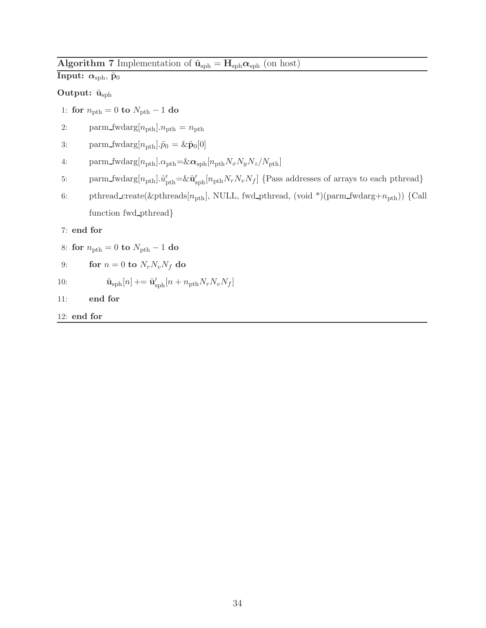# <span id="page-33-0"></span>Algorithm 7 Implementation of  $\tilde{\mathbf{u}}_\text{sph} = \mathbf{H}_\text{sph} \boldsymbol{\alpha}_\text{sph}$  (on host)

### Input:  $\alpha_{\rm sph}$ ,  $\tilde{p}_0$

### Output:  $\tilde{\mathbf{u}}_{\text{sph}}$

- 1: for  $n_{\text{pth}} = 0$  to  $N_{\text{pth}} 1$  do
- 2: parm\_fwdarg $[n_{\text{pth}}]$ . $n_{\text{pth}} = n_{\text{pth}}$
- 3: parm\_fwdarg $[n_{\text{pth}}]$ . $\tilde{p}_0 = \& \tilde{\mathbf{p}}_0[0]$
- 4: parm\_fwdarg[ $n_{\rm pth}$ ]. $\alpha_{\rm pth}$ =& $\alpha_{\rm sph}[n_{\rm pth}N_xN_yN_z/N_{\rm pth}]$
- 5: parm\_fwdarg $[n_{\text{pth}}]$ . $\tilde{u}'_{\text{pth}} = \& \tilde{u}'_{\text{sph}}[n_{\text{pth}}N_rN_vN_f]$  {Pass addresses of arrays to each pthread}
- 6: pthread\_create(&pthreads[ $n_{\text{pth}}$ ], NULL, fwd\_pthread, (void \*)(parm\_fwdarg+ $n_{\text{pth}}$ )) {Call function fwd pthread}

#### 7: end for

- 8: for  $n_{\text{pth}} = 0$  to  $N_{\text{pth}} 1$  do
- 9: for  $n = 0$  to  $N_r N_v N_f$  do
- 10:  $\tilde{\mathbf{u}}_{\text{sph}}[n]$  +=  $\tilde{\mathbf{u}}'_{\text{sph}}[n + n_{\text{pth}}N_rN_vN_f]$
- 11: end for
- 12: end for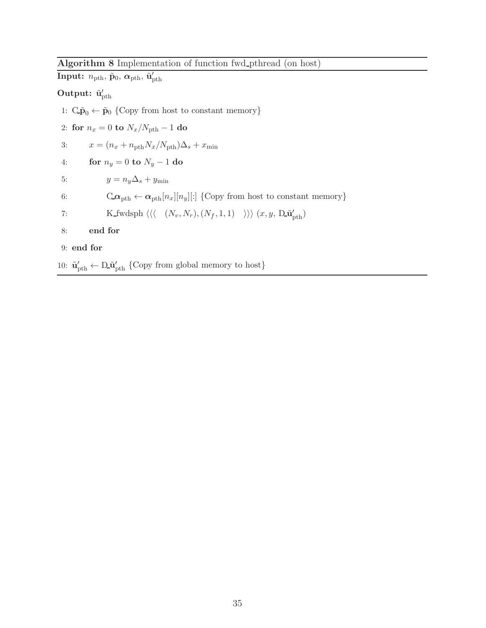# <span id="page-34-0"></span>Algorithm 8 Implementation of function fwd pthread (on host)

 $\textbf{Input:}~~ n_{\text{pth}}, \, \tilde{\textbf{p}}_{0}, \, \boldsymbol{\alpha}_{\text{pth}}, \, \tilde{\textbf{u}}^{\prime}_{\text{pth}}$ Output:  $\tilde{\mathbf{u}}'_{\text{pth}}$ 1:  $C\tilde{\mathbf{p}}_0 \leftarrow \tilde{\mathbf{p}}_0$  {Copy from host to constant memory} 2: for  $n_x = 0$  to  $N_x/N_{\text{pth}} - 1$  do 3:  $x = (n_x + n_{\text{pth}}N_x/N_{\text{pth}})\Delta_s + x_{\text{min}}$ 4: for  $n_y = 0$  to  $N_y - 1$  do 5:  $y = n_y \Delta_s + y_{\text{min}}$ 6:  $C.\boldsymbol{\alpha}_{\text{pth}} \leftarrow \boldsymbol{\alpha}_{\text{pth}}[n_x][n_y][:]$  {Copy from host to constant memory} 7: K\_fwdsph  $\langle \langle (N_v, N_r), (N_f, 1, 1) \rangle \rangle \langle x, y, D\tilde{\mathbf{u}}'_{\text{pth}} \rangle$ 8: end for 9: end for

10:  $\tilde{\mathbf{u}}'_{\text{pth}} \leftarrow \mathbf{D} \tilde{\mathbf{u}}'_{\text{pth}}$  {Copy from global memory to host}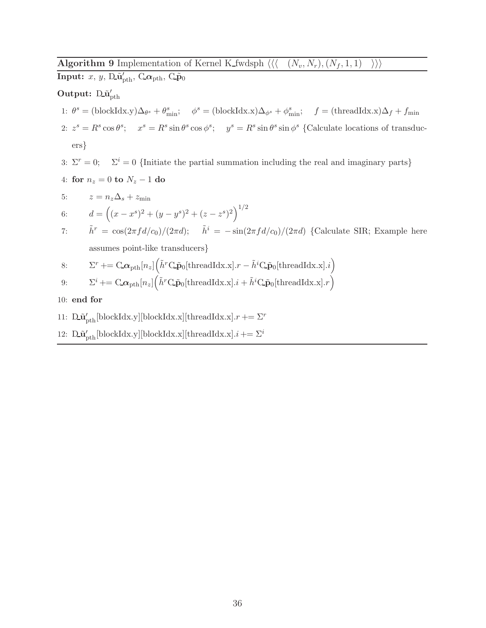### <span id="page-35-0"></span>**Algorithm 9** Implementation of Kernel K fwdsph  $\langle \langle (N_v, N_r), (N_f, 1, 1) \rangle \rangle$

 $\bold{Input:} \ x, \ y, \ \bold{D} \tilde{\bold{u}}'_{\text{pth}}, \ \bold{C} \boldsymbol{\alpha}_{\text{pth}}, \ \bold{C} \tilde{\bold{p}}_{0}$ 

### Output:  $D_u$ <sup>'</sup><sub>pth</sub>

- 1:  $\theta^s = (\text{blockIdx.y})\Delta_{\theta^s} + \theta^s_{\text{min}}; \quad \phi^s = (\text{blockIdx.x})\Delta_{\phi^s} + \phi^s_{\text{min}}; \quad f = (\text{threadIdx.x})\Delta_f + f_{\text{min}}$
- 2:  $z^s = R^s \cos \theta^s$ ;  $x^s = R^s \sin \theta^s \cos \phi^s$ ;  $y^s = R^s \sin \theta^s \sin \phi^s$  {Calculate locations of transducers}
- 3:  $\Sigma^r = 0$ ;  $\Sigma^i = 0$  {Initiate the partial summation including the real and imaginary parts}
- 4: for  $n_z = 0$  to  $N_z 1$  do

5: 
$$
z = n_z \Delta_s + z_{\text{min}}
$$
  
6:  $d = ((x - x^s)^2 + (y - y^s)^2 + (z - z^s)^2)^{1/2}$ 

7: 
$$
\tilde{h}^r = \cos(2\pi f d/c_0)/(2\pi d); \quad \tilde{h}^i = -\sin(2\pi f d/c_0)/(2\pi d)
$$
 {Calculate SIR; Example here  
assumes point-like transducers}

8: 
$$
\Sigma^r \to \mathbb{C}\mathbb{\Omega}_{\text{pth}}[n_z] \Big(\tilde{h}^r \mathbb{C}\tilde{\mathbf{p}}_0[\text{threadIdx.x}].r - \tilde{h}^i \mathbb{C}\tilde{\mathbf{p}}_0[\text{threadIdx.x}].i\Big)
$$

9: 
$$
\Sigma^{i} = \mathbf{C} \boldsymbol{\alpha}_{\text{pth}}[n_{z}]\big(\tilde{h}^{r} \mathbf{C} \tilde{\mathbf{p}}_{0}[\text{threadIdx.x}].i + \tilde{h}^{i} \mathbf{C} \tilde{\mathbf{p}}_{0}[\text{threadIdx.x}].r\big)
$$

- 10: end for
- 11:  $\mathbf{D}_{\mathbf{u}_p^{\prime}}[ \text{blockIdx.y}][ \text{blockIdx.x}]$  [threadIdx.x]. $r \mathrel{+}= \Sigma^r$
- 12:  $\mathbf{D}_\mathbf{u}$ <sup>'</sup>p<sub>th</sub>[blockIdx.y][blockIdx.x][threadIdx.x]. $i \rightarrow \Sigma^i$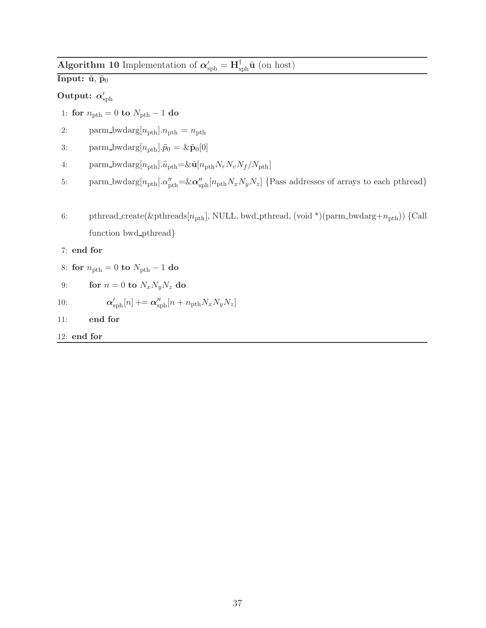<span id="page-36-0"></span>Algorithm 10 Implementation of  $\alpha'_{\text{sph}} = \mathbf{H}^{\dagger}_{\text{sph}}\tilde{\mathbf{u}}$  (on host)

# Input:  $\tilde{\mathbf{u}}, \tilde{\mathbf{p}}_0$

### $\text{Output: } \alpha_\text{sph}^\prime$

- 1: for  $n_{\text{pth}} = 0$  to  $N_{\text{pth}} 1$  do
- 2: parm\_bwdarg $[n_{\text{pth}}]$ . $n_{\text{pth}} = n_{\text{pth}}$
- 3: parm\_bwdarg $[n_{\text{pth}}] \cdot \tilde{p}_0 = \& \tilde{\mathbf{p}}_0[0]$
- 4: parm\_bwdarg $[n_{\text{pth}}]$ . $\tilde{u}_{\text{pth}} = \& \tilde{\mathbf{u}}[n_{\text{pth}}N_rN_vN_f/N_{\text{pth}}]$
- 5: parm\_bwdarg $[n_{\text{pth}}] \cdot \alpha''_{\text{pth}} = \& \alpha''_{\text{ sph}}[n_{\text{pth}}N_xN_yN_z]$  {Pass addresses of arrays to each pthread}
- 6: pthread\_create(&pthreads[ $n_{\text{pth}}$ ], NULL, bwd\_pthread, (void \*)(parm\_bwdarg+ $n_{\text{pth}}$ )) {Call function bwd pthread}

### 7: end for

- 8: for  $n_{\text{pth}} = 0$  to  $N_{\text{pth}} 1$  do
- 9: for  $n = 0$  to  $N_x N_y N_z$  do

10: 
$$
\alpha'_{\text{sph}}[n] \mathrel{+}= \alpha''_{\text{sph}}[n + n_{\text{pth}} N_x N_y N_z]
$$

- 11: end for
- 12: end for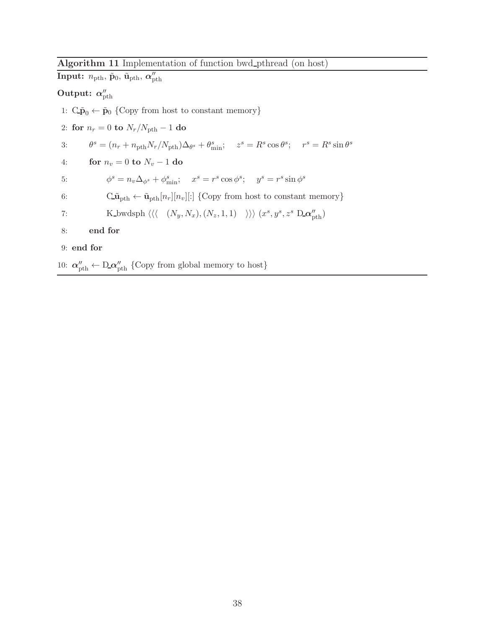### <span id="page-37-0"></span>Algorithm 11 Implementation of function bwd pthread (on host)

| $\textbf{Input:} \ \ n_{\text{pth}}, \, \tilde{\textbf{p}}_{0}, \, \tilde{\textbf{u}}_{\text{pth}}, \, \boldsymbol{\alpha}''_{\text{pth}}$                    |
|---------------------------------------------------------------------------------------------------------------------------------------------------------------|
| Output: $\alpha''_{\rm pth}$                                                                                                                                  |
| 1: $C\tilde{p}_0 \leftarrow \tilde{p}_0$ {Copy from host to constant memory}                                                                                  |
| 2: for $n_r = 0$ to $N_r/N_{\rm pth} - 1$ do                                                                                                                  |
| $\theta^s = (n_r + n_{\rm pth} N_r / N_{\rm pth}) \Delta_{\theta^s} + \theta_{\rm min}^s; \quad z^s = R^s \cos \theta^s; \quad r^s = R^s \sin \theta^s$<br>3: |
| for $n_v = 0$ to $N_v - 1$ do<br>4:                                                                                                                           |
| $\phi^s = n_v \Delta_{\phi^s} + \phi^s_{\min}; \quad x^s = r^s \cos \phi^s; \quad y^s = r^s \sin \phi^s$<br>5:                                                |
| $C_{\mathbf{\tilde{u}}_{\text{pth}}} \leftarrow \tilde{\mathbf{u}}_{\text{pth}}[n_r][n_v][:]$ {Copy from host to constant memory}<br>6:                       |
| K_bwdsph $\langle \langle (N_y, N_x), (N_z, 1, 1) \rangle \rangle (x^s, y^s, z^s \mathbf{D} \alpha''_{\text{nth}})$<br>7:                                     |
| end for<br>8:                                                                                                                                                 |
| $9:$ end for                                                                                                                                                  |
| 10: $\alpha''_{\text{nth}} \leftarrow D \alpha''_{\text{nth}}$ {Copy from global memory to host}                                                              |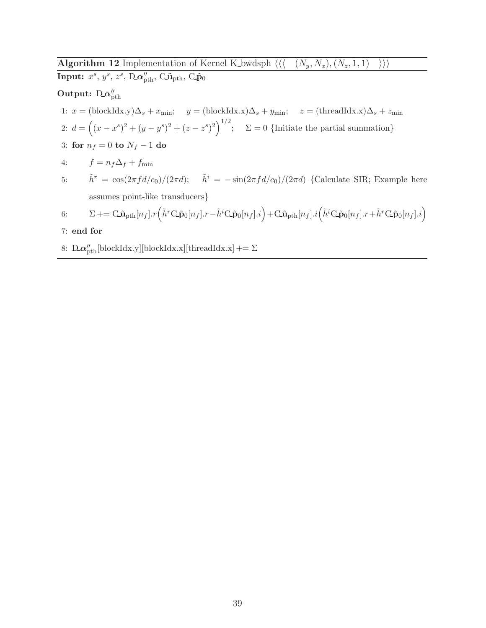<span id="page-38-0"></span>Algorithm 12 Implementation of Kernel K bwdsph  $\langle \langle (N_y, N_x), (N_z, 1, 1) \rangle \rangle$ Input:  $x^s$ ,  $y^s$ ,  $z^s$ , D<sub>- $\alpha''_{\rm pth}$ </sub>, C<sub>- $\tilde{\mathbf{u}}_{\rm pth}$ , C<sub>- $\tilde{\mathbf{p}}_0$ </sub></sub>

### Output:  $D_{\alpha}^{\prime\prime}$ <sub>pth</sub>

- 1:  $x = (blockIdx.y)\Delta_s + x_{min};$   $y = (blockIdx.x)\Delta_s + y_{min};$   $z = (threadIdx.x)\Delta_s + z_{min}$ 2:  $d = ((x - x^s)^2 + (y - y^s)^2 + (z - z^s)^2)^{1/2}; \quad \Sigma = 0$  {Initiate the partial summation} 3: for  $n_f = 0$  to  $N_f - 1$  do
- 4:  $f = n_f \Delta_f + f_{\min}$
- 5:  $\tilde{h}^r = \cos\left(\frac{2\pi f d}{c_0}\right) / \left(\frac{2\pi d}{\pi}\right); \quad \tilde{h}^i = -\sin\left(\frac{2\pi f d}{c_0}\right) / \left(\frac{2\pi d}{\pi}\right)$  {Calculate SIR; Example here assumes point-like transducers}

6: 
$$
\Sigma = \mathbf{C} \tilde{\mathbf{u}}_{\text{pth}}[n_f] \cdot r \left( \tilde{h}^r \mathbf{C} \cdot \tilde{\mathbf{p}}_0[n_f] \cdot r - \tilde{h}^i \mathbf{C} \cdot \tilde{\mathbf{p}}_0[n_f] \cdot i \right) + \mathbf{C} \cdot \tilde{\mathbf{u}}_{\text{pth}}[n_f] \cdot i \left( \tilde{h}^i \mathbf{C} \cdot \tilde{\mathbf{p}}_0[n_f] \cdot r + \tilde{h}^r \mathbf{C} \cdot \tilde{\mathbf{p}}_0[n_f] \cdot i \right)
$$

### 7: end for

8:  $D_{\mathbf{\alpha}_{\rm pth}}^{\prime\prime}[\text{blockIdx.x}][\text{blockIdx.x}] += \Sigma$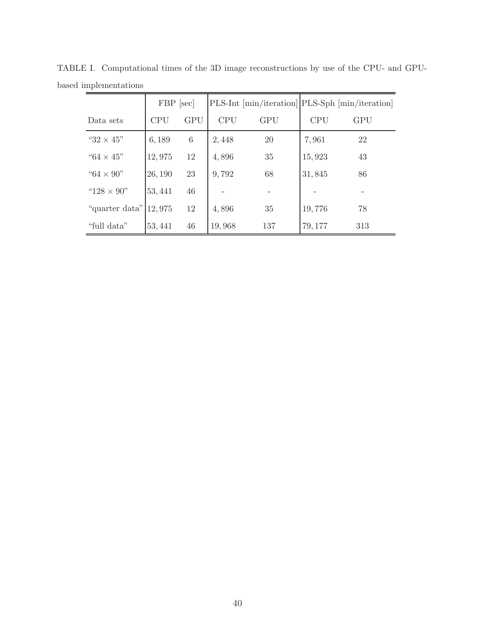<span id="page-39-0"></span>

|                     | FBP [sec]  |                 |            |            | PLS-Int [min/iteration] PLS-Sph [min/iteration] |            |
|---------------------|------------|-----------------|------------|------------|-------------------------------------------------|------------|
| Data sets           | <b>CPU</b> | <b>GPU</b>      | <b>CPU</b> | <b>GPU</b> | <b>CPU</b>                                      | <b>GPU</b> |
| " $32 \times 45$ "  | 6,189      | $6\phantom{.}6$ | 2,448      | 20         | 7,961                                           | 22         |
| " $64 \times 45"$   | 12,975     | 12              | 4,896      | 35         | 15,923                                          | 43         |
| "64 $\times$ 90"    | 26,190     | 23              | 9,792      | 68         | 31,845                                          | 86         |
| " $128 \times 90$ " | 53,441     | 46              |            |            |                                                 |            |
| "quarter data"      | 12,975     | 12              | 4,896      | 35         | 19,776                                          | 78         |
| "full data"         | 53, 441    | 46              | 19,968     | 137        | 79, 177                                         | 313        |

TABLE I. Computational times of the 3D image reconstructions by use of the CPU- and GPUbased implementations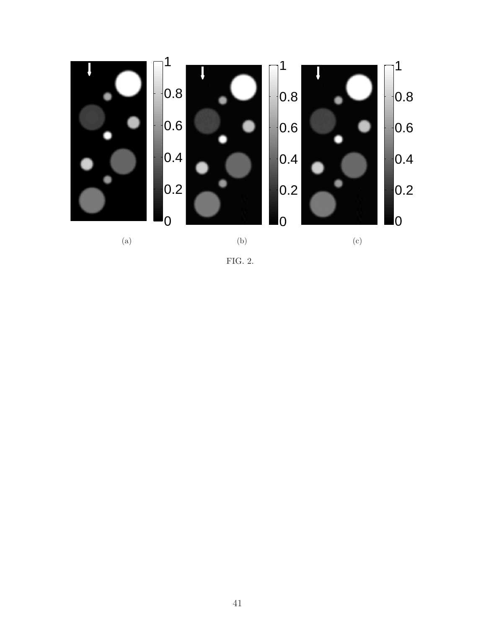

<span id="page-40-0"></span>FIG. 2.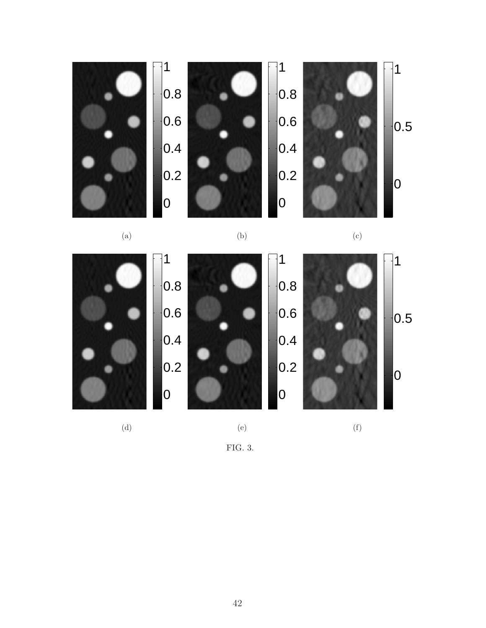

(a)

0 0.2 0.4 0.6 0.8 1  $|0|$  $|0.2|$  $|0.4$  $|0.6|$  $|0.8$ 1 (e)  $|0\>$  $\vert$ 0.5 1 (f)

(d)

FIG. 3.

<span id="page-41-0"></span>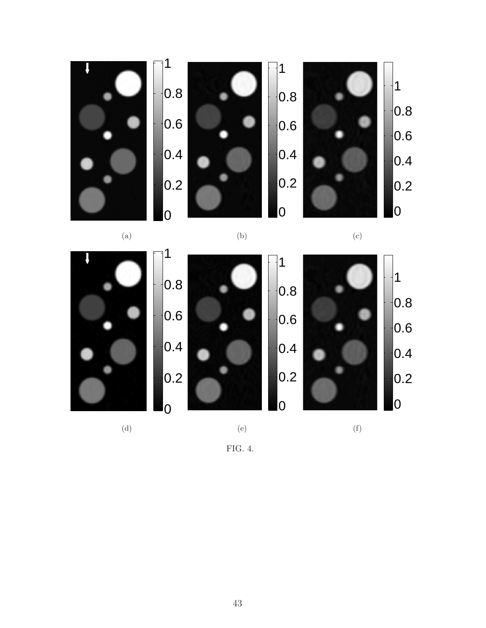

(a)

(b)

(c)



<span id="page-42-0"></span>FIG. 4.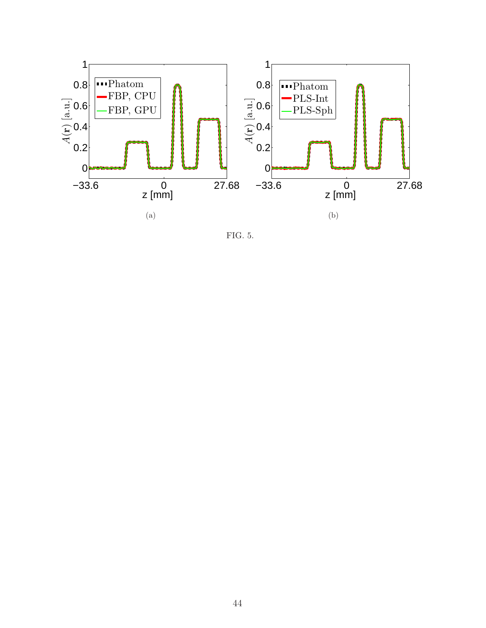

<span id="page-43-0"></span>FIG. 5.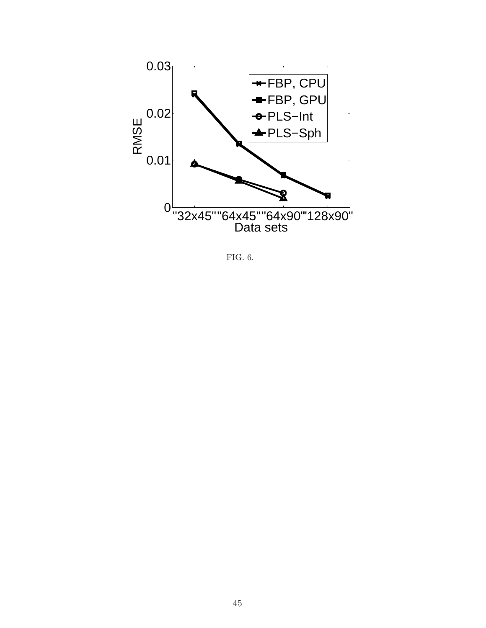

<span id="page-44-0"></span>FIG. 6.